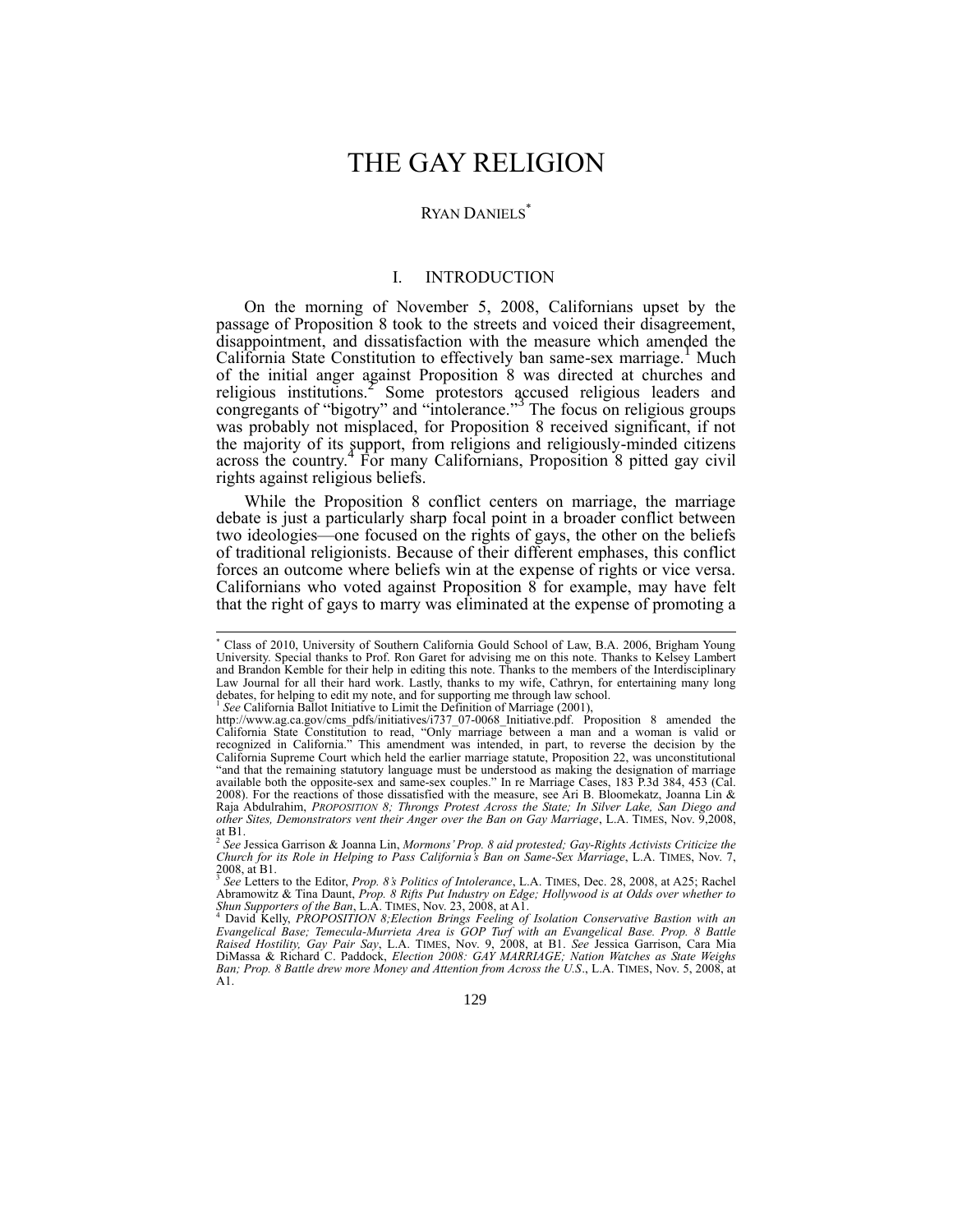# THE GAY RELIGION

### RYAN DANIELS<sup>\*</sup>

# I. INTRODUCTION

On the morning of November 5, 2008, Californians upset by the passage of Proposition 8 took to the streets and voiced their disagreement, disappointment, and dissatisfaction with the measure which amended the California State Constitution to effectively ban same-sex marriage.<sup>1</sup> Much of the initial anger against Proposition 8 was directed at churches and religious institutions.<sup>2</sup> Some protestors accused religious leaders and congregants of "bigotry" and "intolerance." 3 The focus on religious groups was probably not misplaced, for Proposition 8 received significant, if not the majority of its support, from religions and religiously-minded citizens across the country.<sup>4</sup> For many Californians, Proposition 8 pitted gay civil rights against religious beliefs.

While the Proposition 8 conflict centers on marriage, the marriage debate is just a particularly sharp focal point in a broader conflict between two ideologies—one focused on the rights of gays, the other on the beliefs of traditional religionists. Because of their different emphases, this conflict forces an outcome where beliefs win at the expense of rights or vice versa. Californians who voted against Proposition 8 for example, may have felt that the right of gays to marry was eliminated at the expense of promoting a

 $\overline{a}$ 

<sup>\*</sup> Class of 2010, University of Southern California Gould School of Law, B.A. 2006, Brigham Young University. Special thanks to Prof. Ron Garet for advising me on this note. Thanks to Kelsey Lambert and Brandon Kemble for their help in editing this note. Thanks to the members of the Interdisciplinary Law Journal for all their hard work. Lastly, thanks to my wife, Cathryn, for entertaining many long debates, for helping to edit my note, and for supporting me through law school.<br><sup>1</sup> See Celifornia Bollat Initiative to I

*See* California Ballot Initiative to Limit the Definition of Marriage (2001),

http://www.ag.ca.gov/cms\_pdfs/initiatives/i737\_07-0068\_Initiative.pdf. Proposition 8 amended the California State Constitution to read, "Only marriage between a man and a woman is valid or recognized in California." This amendment was intended, in part, to reverse the decision by the California Supreme Court which held the earlier marriage statute, Proposition 22, was unconstitutional "and that the remaining statutory language must be understood as making the designation of marriage available both the opposite-sex and same-sex couples." In re Marriage Cases, 183 P.3d 384, 453 (Cal. 2008). For the reactions of those dissatisfied with the measure, see Ari B. Bloomekatz, Joanna Lin & Raja Abdulrahim, *PROPOSITION 8; Throngs Protest Across the State; In Silver Lake, San Diego and other Sites, Demonstrators vent their Anger over the Ban on Gay Marriage*, L.A. TIMES, Nov. 9,2008, at B1. 2 *See* Jessica Garrison & Joanna Lin, *Mormons' Prop. 8 aid protested; Gay-Rights Activists Criticize the* 

*Church for its Role in Helping to Pass California's Ban on Same-Sex Marriage*, L.A. TIMES, Nov. 7, 2008, at B1. 3 *See* Letters to the Editor, *Prop. 8's Politics of Intolerance*, L.A. TIMES, Dec. 28, 2008, at A25; Rachel

Abramowitz & Tina Daunt, *Prop. 8 Rifts Put Industry on Edge; Hollywood is at Odds over whether to Shun Supporters of the Ban*, L.A. TIMES, Nov. 23, 2008, at A1. <sup>4</sup> David Kelly, *PROPOSITION 8;Election Brings Feeling of Isolation Conservative Bastion with an* 

*Evangelical Base; Temecula-Murrieta Area is GOP Turf with an Evangelical Base. Prop. 8 Battle Raised Hostility, Gay Pair Say*, L.A. TIMES, Nov. 9, 2008, at B1. *See* Jessica Garrison, Cara Mia DiMassa & Richard C. Paddock, *Election 2008: GAY MARRIAGE; Nation Watches as State Weighs Ban; Prop. 8 Battle drew more Money and Attention from Across the U.S*., L.A. TIMES, Nov. 5, 2008, at A1.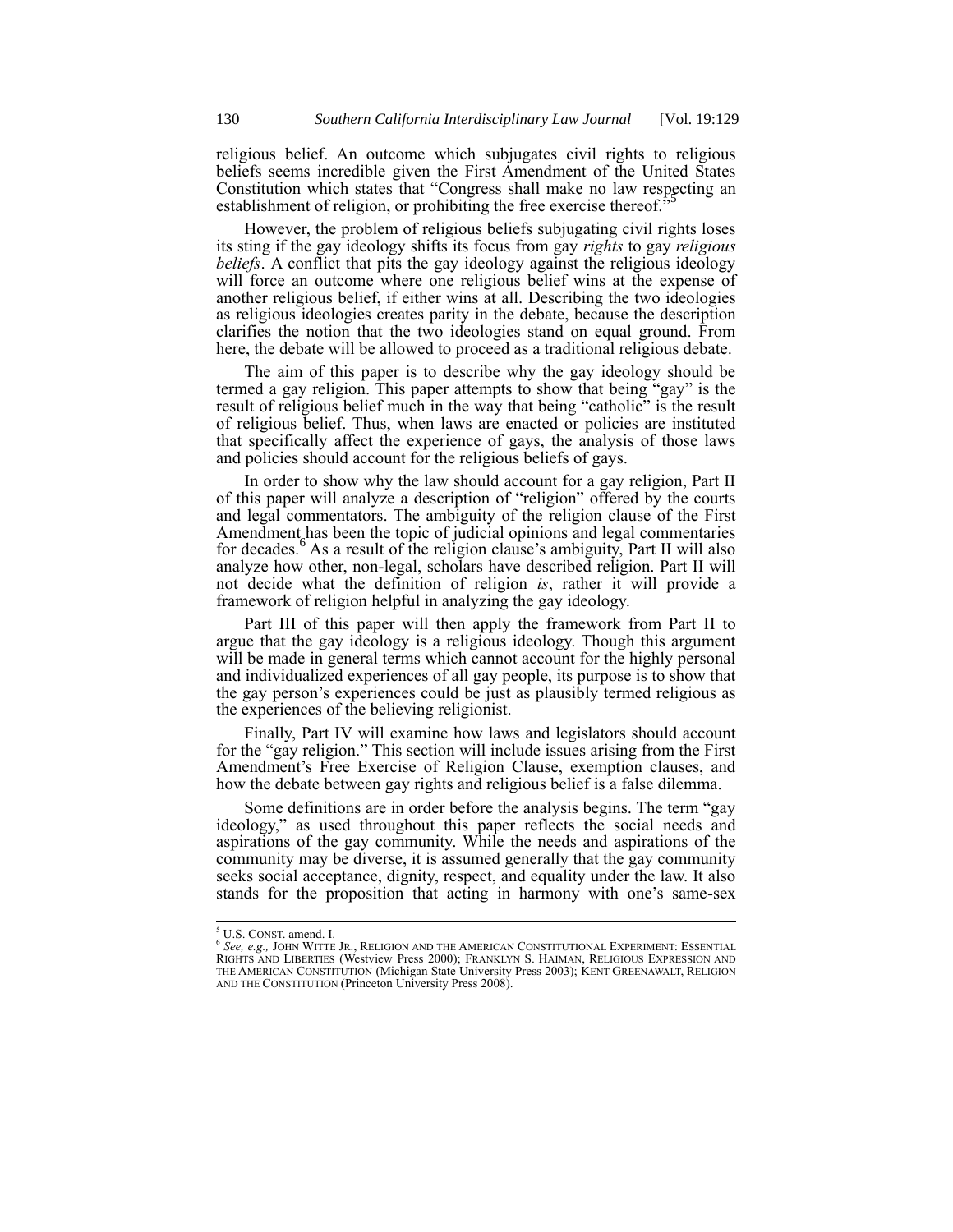religious belief. An outcome which subjugates civil rights to religious beliefs seems incredible given the First Amendment of the United States Constitution which states that "Congress shall make no law respecting an establishment of religion, or prohibiting the free exercise thereof.<sup>3</sup>

However, the problem of religious beliefs subjugating civil rights loses its sting if the gay ideology shifts its focus from gay *rights* to gay *religious beliefs*. A conflict that pits the gay ideology against the religious ideology will force an outcome where one religious belief wins at the expense of another religious belief, if either wins at all. Describing the two ideologies as religious ideologies creates parity in the debate, because the description clarifies the notion that the two ideologies stand on equal ground. From here, the debate will be allowed to proceed as a traditional religious debate.

The aim of this paper is to describe why the gay ideology should be termed a gay religion. This paper attempts to show that being "gay" is the result of religious belief much in the way that being "catholic" is the result of religious belief. Thus, when laws are enacted or policies are instituted that specifically affect the experience of gays, the analysis of those laws and policies should account for the religious beliefs of gays.

In order to show why the law should account for a gay religion, Part II of this paper will analyze a description of "religion" offered by the courts and legal commentators. The ambiguity of the religion clause of the First Amendment has been the topic of judicial opinions and legal commentaries for decades.<sup>6</sup> As a result of the religion clause's ambiguity, Part II will also analyze how other, non-legal, scholars have described religion. Part II will not decide what the definition of religion *is*, rather it will provide a framework of religion helpful in analyzing the gay ideology.

Part III of this paper will then apply the framework from Part II to argue that the gay ideology is a religious ideology. Though this argument will be made in general terms which cannot account for the highly personal and individualized experiences of all gay people, its purpose is to show that the gay person's experiences could be just as plausibly termed religious as the experiences of the believing religionist.

Finally, Part IV will examine how laws and legislators should account for the "gay religion." This section will include issues arising from the First Amendment's Free Exercise of Religion Clause, exemption clauses, and how the debate between gay rights and religious belief is a false dilemma.

Some definitions are in order before the analysis begins. The term "gay ideology," as used throughout this paper reflects the social needs and aspirations of the gay community. While the needs and aspirations of the community may be diverse, it is assumed generally that the gay community seeks social acceptance, dignity, respect, and equality under the law. It also stands for the proposition that acting in harmony with one's same-sex

<sup>&</sup>lt;sup>5</sup> U.S. CONST. amend. I.

<sup>&</sup>lt;sup>6</sup> See, e.g., John Witte Jr., Religion and the American Constitutional Experiment: Essential<br>Rights and Liberties (Westview Press 2000); Franklyn S. Haiman, Religious Expression and THE AMERICAN CONSTITUTION (Michigan State University Press 2003); KENT GREENAWALT, RELIGION AND THE CONSTITUTION (Princeton University Press 2008).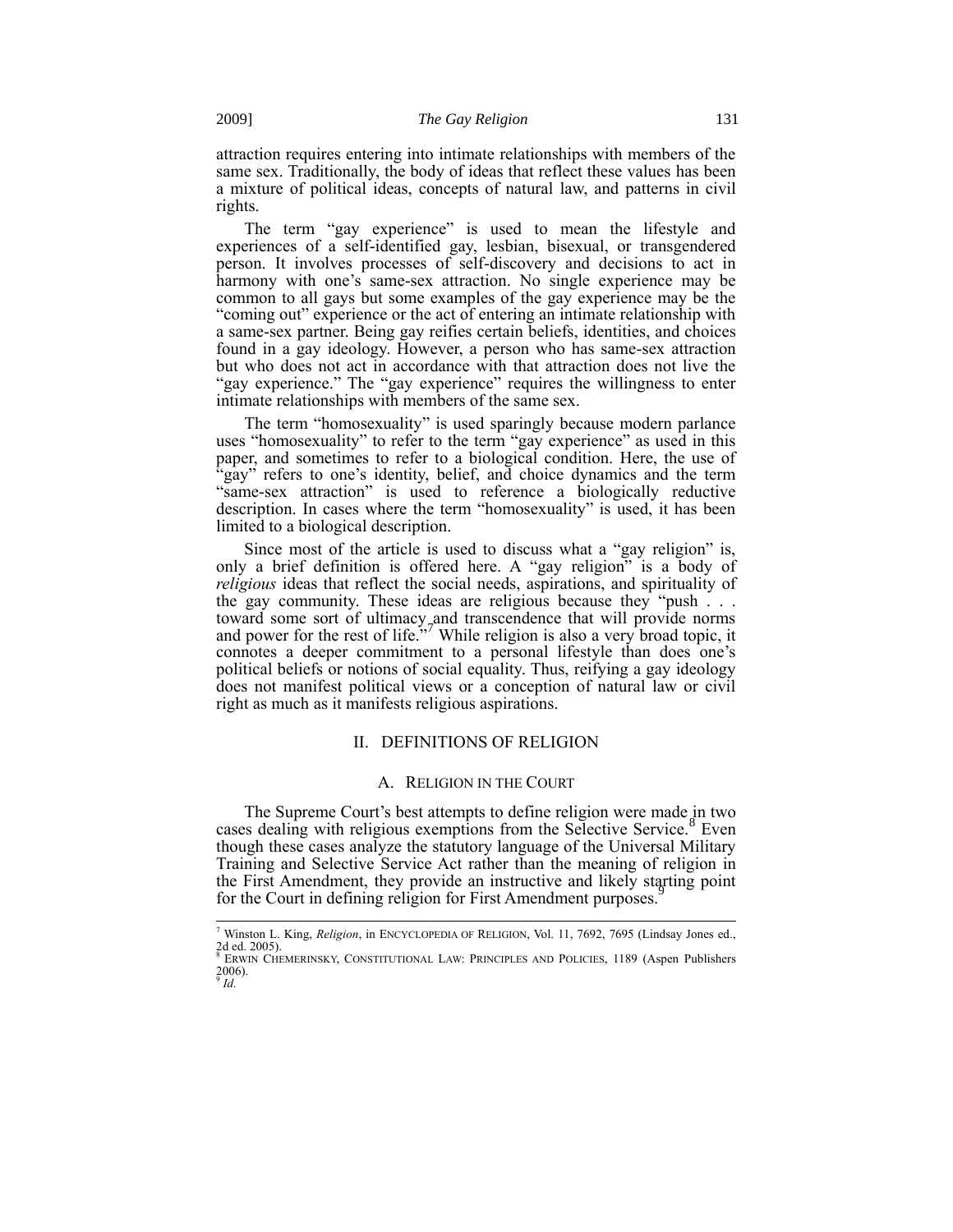attraction requires entering into intimate relationships with members of the same sex. Traditionally, the body of ideas that reflect these values has been a mixture of political ideas, concepts of natural law, and patterns in civil rights.

The term "gay experience" is used to mean the lifestyle and experiences of a self-identified gay, lesbian, bisexual, or transgendered person. It involves processes of self-discovery and decisions to act in harmony with one's same-sex attraction. No single experience may be common to all gays but some examples of the gay experience may be the "coming out" experience or the act of entering an intimate relationship with a same-sex partner. Being gay reifies certain beliefs, identities, and choices found in a gay ideology. However, a person who has same-sex attraction but who does not act in accordance with that attraction does not live the "gay experience." The "gay experience" requires the willingness to enter intimate relationships with members of the same sex.

The term "homosexuality" is used sparingly because modern parlance uses "homosexuality" to refer to the term "gay experience" as used in this paper, and sometimes to refer to a biological condition. Here, the use of 'gay" refers to one's identity, belief, and choice dynamics and the term "same-sex attraction" is used to reference a biologically reductive description. In cases where the term "homosexuality" is used, it has been limited to a biological description.

Since most of the article is used to discuss what a "gay religion" is, only a brief definition is offered here. A "gay religion" is a body of *religious* ideas that reflect the social needs, aspirations, and spirituality of the gay community. These ideas are religious because they "push . . . toward some sort of ultimacy and transcendence that will provide norms and power for the rest of life."<sup>7</sup> While religion is also a very broad topic, it connotes a deeper commitment to a personal lifestyle than does one's political beliefs or notions of social equality. Thus, reifying a gay ideology does not manifest political views or a conception of natural law or civil right as much as it manifests religious aspirations.

## II. DEFINITIONS OF RELIGION

## A. RELIGION IN THE COURT

The Supreme Court's best attempts to define religion were made in two cases dealing with religious exemptions from the Selective Service.<sup>8</sup> Even though these cases analyze the statutory language of the Universal Military Training and Selective Service Act rather than the meaning of religion in the First Amendment, they provide an instructive and likely starting point for the Court in defining religion for First Amendment purposes.

<sup>7</sup> Winston L. King, *Religion*, in ENCYCLOPEDIA OF RELIGION, Vol. 11, 7692, 7695 (Lindsay Jones ed., 2d ed. 2005).<br><sup>8</sup> Erwin Chemerinsky, Constitutional Law: Principles and Policies, 1189 (Aspen Publishers

<sup>2006).</sup> 9 *Id.*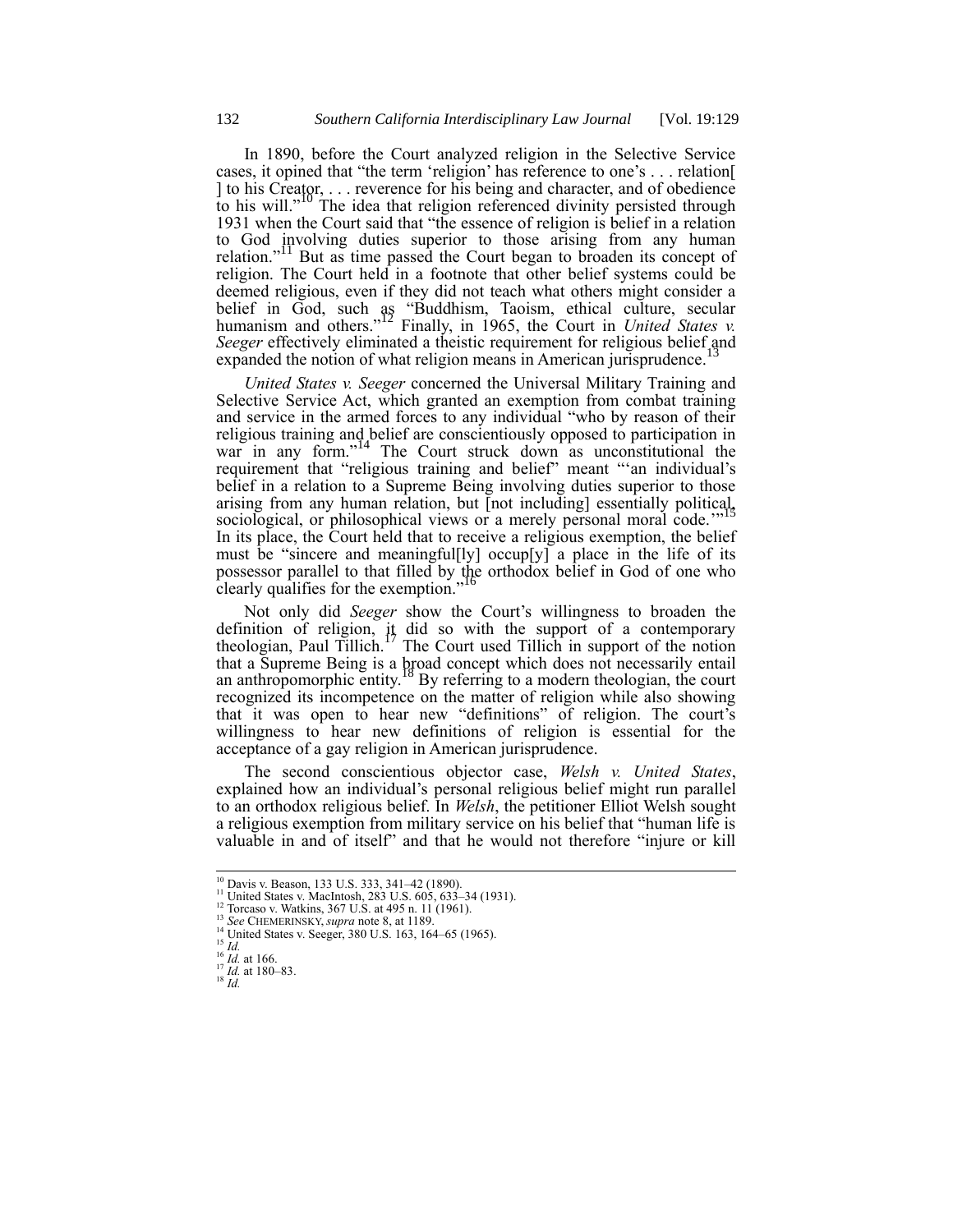In 1890, before the Court analyzed religion in the Selective Service cases, it opined that "the term 'religion' has reference to one's . . . relation[ ] to his Creator, . . . reverence for his being and character, and of obedience to his will."<sup>10</sup> The idea that religion referenced divinity persisted through 1931 when the Court said that "the essence of religion is belief in a relation to God involving duties superior to those arising from any human relation."<sup>11</sup> But as time passed the Court began to broaden its concept of religion. The Court held in a footnote that other belief systems could be deemed religious, even if they did not teach what others might consider a belief in God, such as "Buddhism, Taoism, ethical culture, secular humanism and others."<sup>12</sup> Finally, in 1965, the Court in *United States v.* Seeger effectively eliminated a theistic requirement for religious belief and sympatod the notion of what religion means in American interpretation <sup>13</sup> expanded the notion of what religion means in American jurisprudence.

*United States v. Seeger* concerned the Universal Military Training and Selective Service Act, which granted an exemption from combat training and service in the armed forces to any individual "who by reason of their religious training and belief are conscientiously opposed to participation in war in any form."<sup>14</sup> The Court struck down as unconstitutional the requirement that "religious training and belief" meant "'an individual's belief in a relation to a Supreme Being involving duties superior to those arising from any human relation, but [not including] essentially political, sociological, or philosophical views or a merely personal moral code.<sup>""15</sup> In its place, the Court held that to receive a religious exemption, the belief must be "sincere and meaningful[ly] occup[y] a place in the life of its possessor parallel to that filled by the orthodox belief in God of one who clearly qualifies for the exemption."<sup>16</sup>

Not only did *Seeger* show the Court's willingness to broaden the definition of religion, it did so with the support of a contemporary theologian, Paul Tillich.<sup>17</sup> The Court used Tillich in support of the notion that a Supreme Being is a broad concept which does not necessarily entail an anthropomorphic entity.<sup>18</sup> By referring to a modern theologian, the court recognized its incompetence on the matter of religion while also showing that it was open to hear new "definitions" of religion. The court's willingness to hear new definitions of religion is essential for the acceptance of a gay religion in American jurisprudence.

The second conscientious objector case, *Welsh v. United States*, explained how an individual's personal religious belief might run parallel to an orthodox religious belief. In *Welsh*, the petitioner Elliot Welsh sought a religious exemption from military service on his belief that "human life is valuable in and of itself" and that he would not therefore "injure or kill

 $^{18}$   $\overline{Id}$ .

<sup>&</sup>lt;sup>10</sup> Davis v. Beason, 133 U.S. 333, 341–42 (1890).

<sup>&</sup>lt;sup>11</sup> United States v. MacIntosh, 283 U.S. 605, 633–34 (1931).<br><sup>12</sup> Torcaso v. Watkins, 367 U.S. at 495 n. 11 (1961).

<sup>13</sup> *See* CHEMERINSKY, *supra* note 8, at 1189.

<sup>&</sup>lt;sup>14</sup> United States v. Seeger, 380 U.S. 163, 164–65 (1965).

<sup>15</sup> *Id.*  $^{16}$  *Id.* at 166.

<sup>17</sup> *Id.* at 180–83.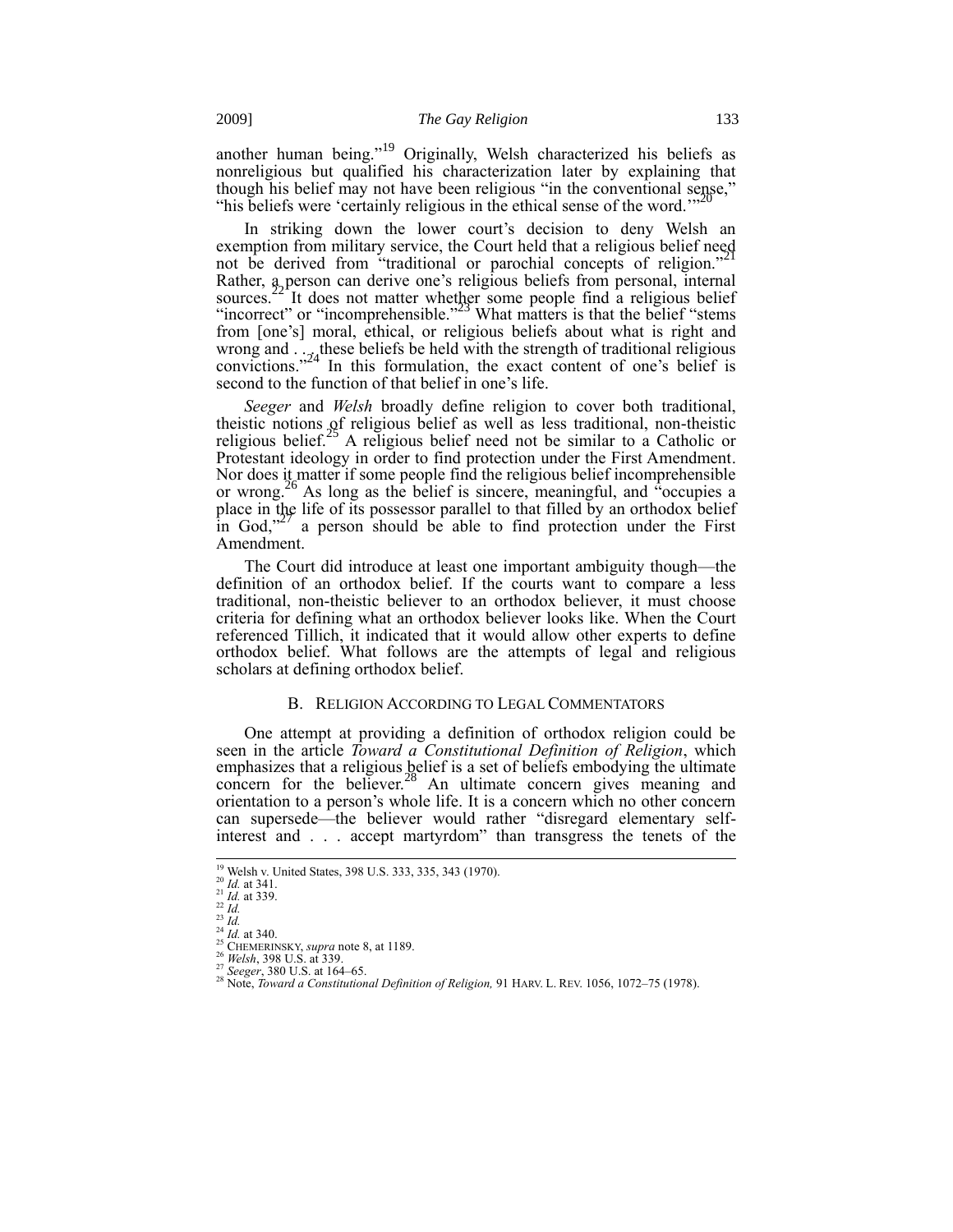another human being."<sup>19</sup> Originally, Welsh characterized his beliefs as nonreligious but qualified his characterization later by explaining that though his belief may not have been religious "in the conventional sense," "his beliefs were 'certainly religious in the ethical sense of the word."

In striking down the lower court's decision to deny Welsh an exemption from military service, the Court held that a religious belief need not be derived from "traditional or parochial concepts of religion." Rather, a person can derive one's religious beliefs from personal, internal sources.<sup>22</sup> It does not matter whether some people find a religious belief "incorrect" or "incomprehensible."<sup>23</sup> What matters is that the belief "stems" from [one's] moral, ethical, or religious beliefs about what is right and wrong and  $\ldots$   $324$  ln this formulation, the strength of traditional religious convictions.<sup>324</sup> In this formulation, the exact content of one's belief is second to the function of that belief in one's life.

*Seeger* and *Welsh* broadly define religion to cover both traditional, theistic notions of religious belief as well as less traditional, non-theistic religious belief.<sup>25</sup> A religious belief need not be similar to a Catholic or Protestant ideology in order to find protection under the First Amendment. Nor does it matter if some people find the religious belief incomprehensible or wrong. <sup>3</sup> As long as the belief is sincere, meaningful, and "occupies a place in the life of its possessor parallel to that filled by an orthodox belief in God.<sup>327</sup> a person should be able to find protection under the First a person should be able to find protection under the First Amendment.

The Court did introduce at least one important ambiguity though—the definition of an orthodox belief. If the courts want to compare a less traditional, non-theistic believer to an orthodox believer, it must choose criteria for defining what an orthodox believer looks like. When the Court referenced Tillich, it indicated that it would allow other experts to define orthodox belief. What follows are the attempts of legal and religious scholars at defining orthodox belief.

## B. RELIGION ACCORDING TO LEGAL COMMENTATORS

One attempt at providing a definition of orthodox religion could be seen in the article *Toward a Constitutional Definition of Religion*, which emphasizes that a religious belief is a set of beliefs embodying the ultimate concern for the believer.<sup>28</sup> An ultimate concern gives meaning and orientation to a person's whole life. It is a concern which no other concern can supersede—the believer would rather "disregard elementary selfinterest and . . . accept martyrdom" than transgress the tenets of the

<sup>&</sup>lt;sup>19</sup> Welsh v. United States, 398 U.S. 333, 335, 343 (1970).

<sup>20</sup> *Id.* at 341.

<sup>21</sup> *Id.* at 339.

<sup>22</sup> *Id.* <sup>23</sup> *Id.*

 $^{24}$  *Id.* at 340.

<sup>25</sup> CHEMERINSKY, *supra* note 8, at 1189. <sup>26</sup> *Welsh*, 398 U.S. at 339.

<sup>27</sup> *Seeger*, 380 U.S. at 164–65.

<sup>28</sup> Note, *Toward a Constitutional Definition of Religion,* 91 HARV. L. REV. 1056, 1072–75 (1978).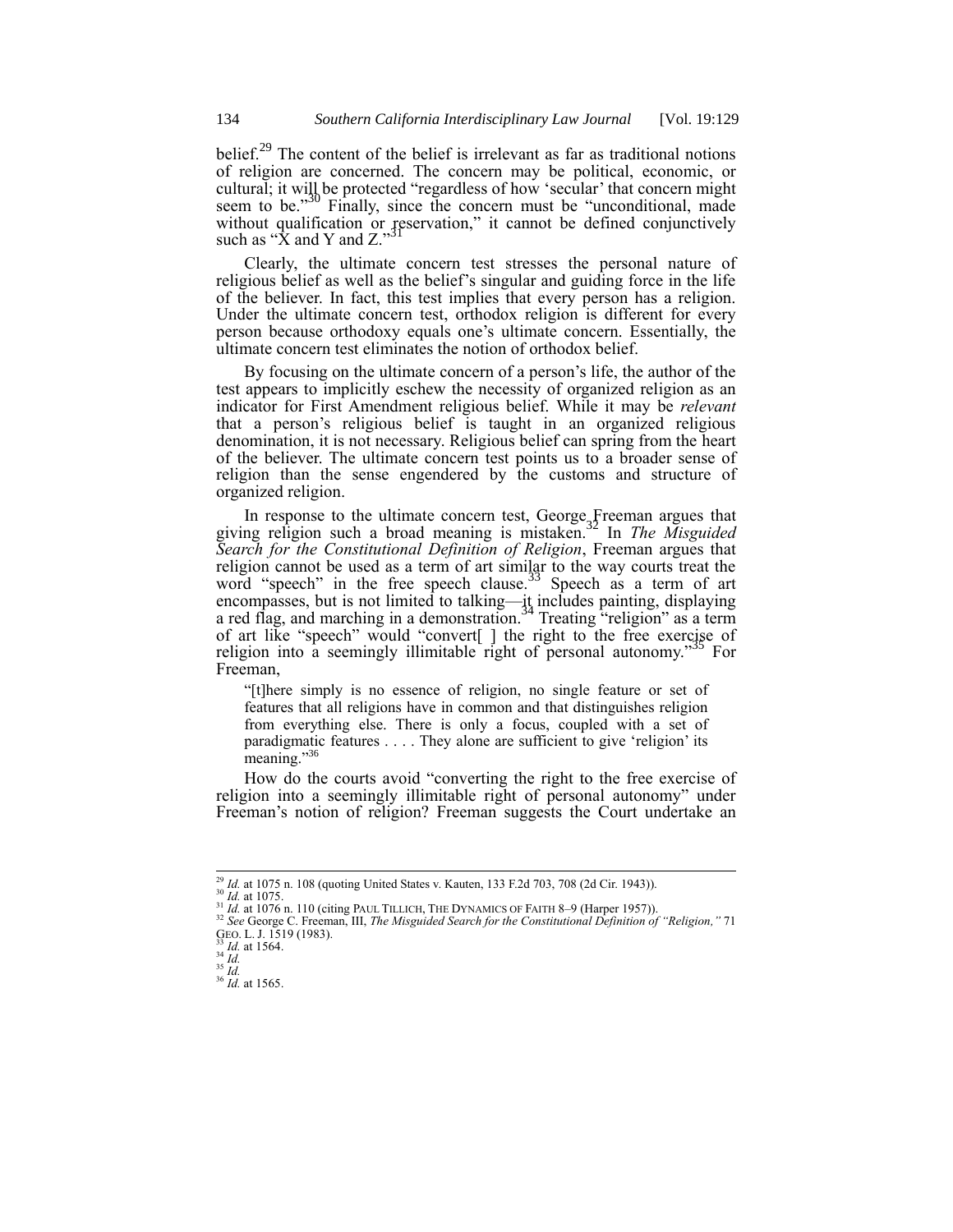belief.<sup>29</sup> The content of the belief is irrelevant as far as traditional notions of religion are concerned. The concern may be political, economic, or cultural; it will be protected "regardless of how 'secular' that concern might seem to be."<sup>30</sup> Finally, since the concern must be "unconditional, made without qualification or reservation," it cannot be defined conjunctively such as "X and Y and Z."<sup>31</sup>

Clearly, the ultimate concern test stresses the personal nature of religious belief as well as the belief's singular and guiding force in the life of the believer. In fact, this test implies that every person has a religion. Under the ultimate concern test, orthodox religion is different for every person because orthodoxy equals one's ultimate concern. Essentially, the ultimate concern test eliminates the notion of orthodox belief.

By focusing on the ultimate concern of a person's life, the author of the test appears to implicitly eschew the necessity of organized religion as an indicator for First Amendment religious belief. While it may be *relevant* that a person's religious belief is taught in an organized religious denomination, it is not necessary. Religious belief can spring from the heart of the believer. The ultimate concern test points us to a broader sense of religion than the sense engendered by the customs and structure of organized religion.

In response to the ultimate concern test, George Freeman argues that giving religion such a broad meaning is mistaken.<sup>32</sup> In *The Misguided Search for the Constitutional Definition of Religion*, Freeman argues that religion cannot be used as a term of art similar to the way courts treat the word "speech" in the free speech clause.<sup>33</sup> Speech as a term of art encompasses, but is not limited to talking—it includes painting, displaying a red flag, and marching in a demonstration.<sup>34</sup> Treating "religion" as a term of art like "speech" would "convert[ ] the right to the free exercise of religion into a seemingly illimitable right of personal autonomy.<sup>35</sup> For Freeman,

"[t]here simply is no essence of religion, no single feature or set of features that all religions have in common and that distinguishes religion from everything else. There is only a focus, coupled with a set of paradigmatic features . . . . They alone are sufficient to give 'religion' its meaning."<sup>3</sup>

How do the courts avoid "converting the right to the free exercise of religion into a seemingly illimitable right of personal autonomy" under Freeman's notion of religion? Freeman suggests the Court undertake an

<sup>30</sup> *Id.* at 1075.

<sup>29</sup> *Id.* at 1075 n. 108 (quoting United States v. Kauten, 133 F.2d 703, 708 (2d Cir. 1943)).

<sup>&</sup>lt;sup>31</sup> *Id.* at 1076 n. 110 (citing PAUL TILLICH, THE DYNAMICS OF FAITH 8–9 (Harper 1957)).<br><sup>32</sup> See George C. Freeman, III, *The Misguided Search for the Constitutional Definition of "Religion," 71* GEO. L. J. 1519 (1983).

<sup>33</sup> *Id.* at 1564. <sup>34</sup> *Id.*

<sup>35</sup> *Id.*

<sup>36</sup> *Id.* at 1565.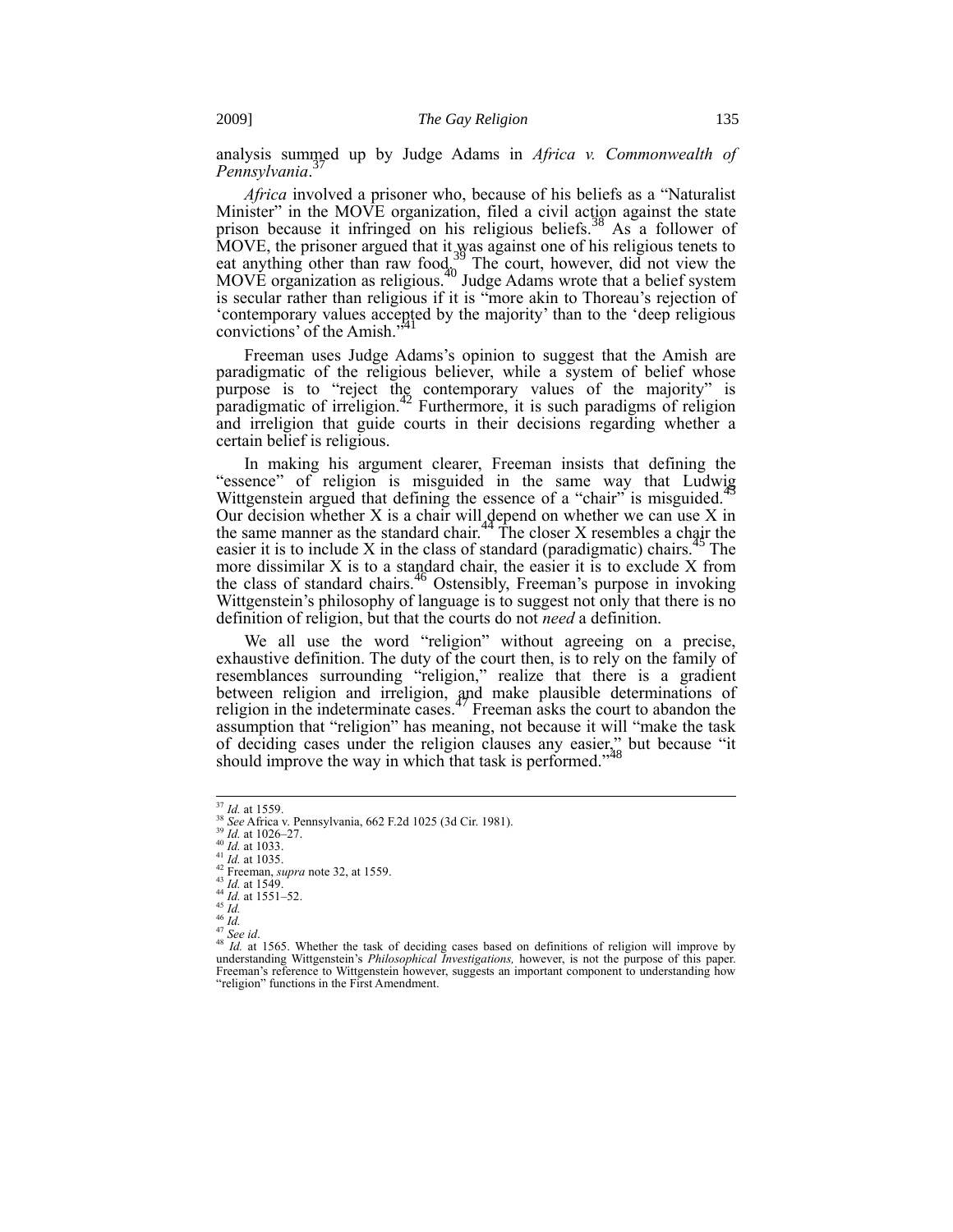analysis summed up by Judge Adams in *Africa v. Commonwealth of*  37 *Pennsylvania*.

*Africa* involved a prisoner who, because of his beliefs as a "Naturalist Minister" in the MOVE organization, filed a civil action against the state prison because it infringed on his religious beliefs.<sup>38</sup> As a follower of MOVE, the prisoner argued that it was against one of his religious tenets to eat anything other than raw food.<sup>39</sup> The court, however, did not view the MOVE organization as religious.<sup>40</sup> Judge Adams wrote that a belief system is secular rather than religious if it is "more akin to Thoreau's rejection of 'contemporary values accepted by the majority' than to the 'deep religious convictions' of the Amish."

Freeman uses Judge Adams's opinion to suggest that the Amish are paradigmatic of the religious believer, while a system of belief whose purpose is to "reject the contemporary values of the majority" is paradigmatic of irreligion.<sup>42</sup> Furthermore, it is such paradigms of religion and irreligion that guide courts in their decisions regarding whether a certain belief is religious.

In making his argument clearer, Freeman insists that defining the "essence" of religion is misguided in the same way that Ludwig Wittgenstein argued that defining the essence of a "chair" is misguided.<sup>4</sup> Our decision whether  $X$  is a chair will depend on whether we can use  $X$  in the same manner as the standard chair.<sup>44</sup> The closer  $X$  resembles a chair the easier it is to include  $X$  in the class of standard (paradigmatic) chairs.<sup>4</sup>  $45$  The more dissimilar  $X$  is to a standard chair, the easier it is to exclude  $X$  from the class of standard chairs.<sup>46</sup> Ostensibly, Freeman's purpose in invoking Wittgenstein's philosophy of language is to suggest not only that there is no definition of religion, but that the courts do not *need* a definition.

We all use the word "religion" without agreeing on a precise, exhaustive definition. The duty of the court then, is to rely on the family of resemblances surrounding "religion," realize that there is a gradient between religion and irreligion, and make plausible determinations of religion in the indeterminate cases.<sup>47</sup> Freeman asks the court to abandon the assumption that "religion" has meaning, not because it will "make the task of deciding cases under the religion clauses any easier," but because "it should improve the way in which that task is performed."<sup>48</sup>

 $\overline{\phantom{a}}$ 

<sup>39</sup> *Id.* at 1026–27.

<sup>40</sup> *Id.* at 1033.  $^{41}$  *Id.* at 1035.

<sup>37</sup> *Id.* at 1559.

<sup>38</sup> *See* Africa v. Pennsylvania, 662 F.2d 1025 (3d Cir. 1981).

<sup>42</sup> Freeman, *supra* note 32, at 1559.

<sup>43</sup> *Id.* at 1549.

<sup>44</sup> *Id.* at 1551–52.

<sup>45</sup> *Id.* <sup>46</sup> *Id.*

<sup>47</sup> *See id*.

<sup>48</sup> *Id.* at 1565. Whether the task of deciding cases based on definitions of religion will improve by understanding Wittgenstein's *Philosophical Investigations,* however, is not the purpose of this paper. Freeman's reference to Wittgenstein however, suggests an important component to understanding how "religion" functions in the First Amendment.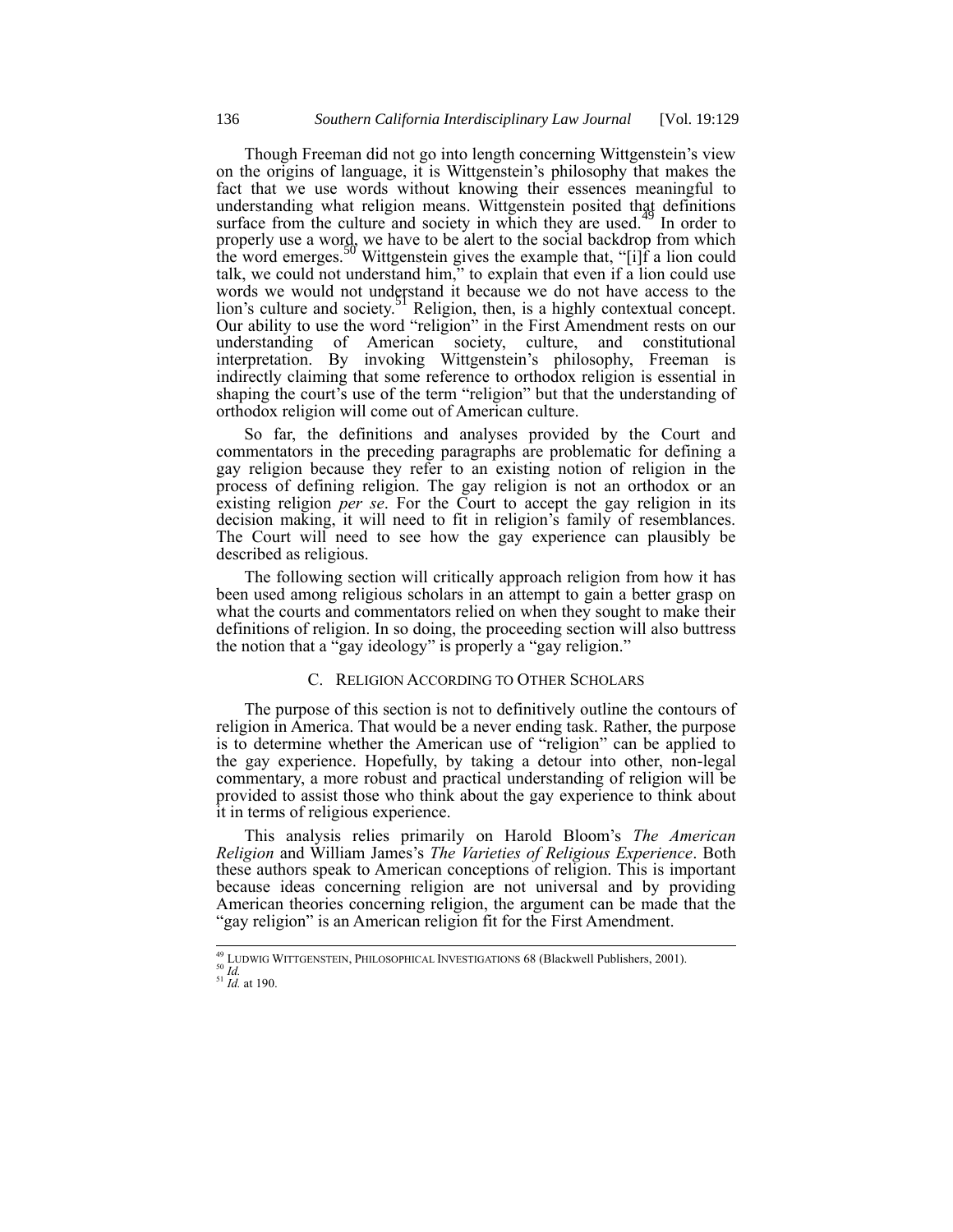Though Freeman did not go into length concerning Wittgenstein's view on the origins of language, it is Wittgenstein's philosophy that makes the fact that we use words without knowing their essences meaningful to understanding what religion means. Wittgenstein posited that definitions surface from the culture and society in which they are used.<sup> $49$ </sup> In order to properly use a word, we have to be alert to the social backdrop from which the word emerges.<sup>50</sup> Wittgenstein gives the example that, "[i]f a lion could talk, we could not understand him," to explain that even if a lion could use words we would not understand it because we do not have access to the lion's culture and society.<sup>51</sup> Religion, then, is a highly contextual concept. Our ability to use the word "religion" in the First Amendment rests on our understanding of American society, culture, and constitutional interpretation. By invoking Wittgenstein's philosophy, Freeman is indirectly claiming that some reference to orthodox religion is essential in shaping the court's use of the term "religion" but that the understanding of orthodox religion will come out of American culture.

So far, the definitions and analyses provided by the Court and commentators in the preceding paragraphs are problematic for defining a gay religion because they refer to an existing notion of religion in the process of defining religion. The gay religion is not an orthodox or an existing religion *per se*. For the Court to accept the gay religion in its decision making, it will need to fit in religion's family of resemblances. The Court will need to see how the gay experience can plausibly be described as religious.

The following section will critically approach religion from how it has been used among religious scholars in an attempt to gain a better grasp on what the courts and commentators relied on when they sought to make their definitions of religion. In so doing, the proceeding section will also buttress the notion that a "gay ideology" is properly a "gay religion."

# C. RELIGION ACCORDING TO OTHER SCHOLARS

The purpose of this section is not to definitively outline the contours of religion in America. That would be a never ending task. Rather, the purpose is to determine whether the American use of "religion" can be applied to the gay experience. Hopefully, by taking a detour into other, non-legal commentary, a more robust and practical understanding of religion will be provided to assist those who think about the gay experience to think about it in terms of religious experience.

This analysis relies primarily on Harold Bloom's *The American Religion* and William James's *The Varieties of Religious Experience*. Both these authors speak to American conceptions of religion. This is important because ideas concerning religion are not universal and by providing American theories concerning religion, the argument can be made that the "gay religion" is an American religion fit for the First Amendment.

 $\overline{\phantom{a}}$ <sup>49</sup> LUDWIG WITTGENSTEIN, PHILOSOPHICAL INVESTIGATIONS 68 (Blackwell Publishers, 2001).

<sup>50</sup> *Id.* <sup>51</sup> *Id.* at 190.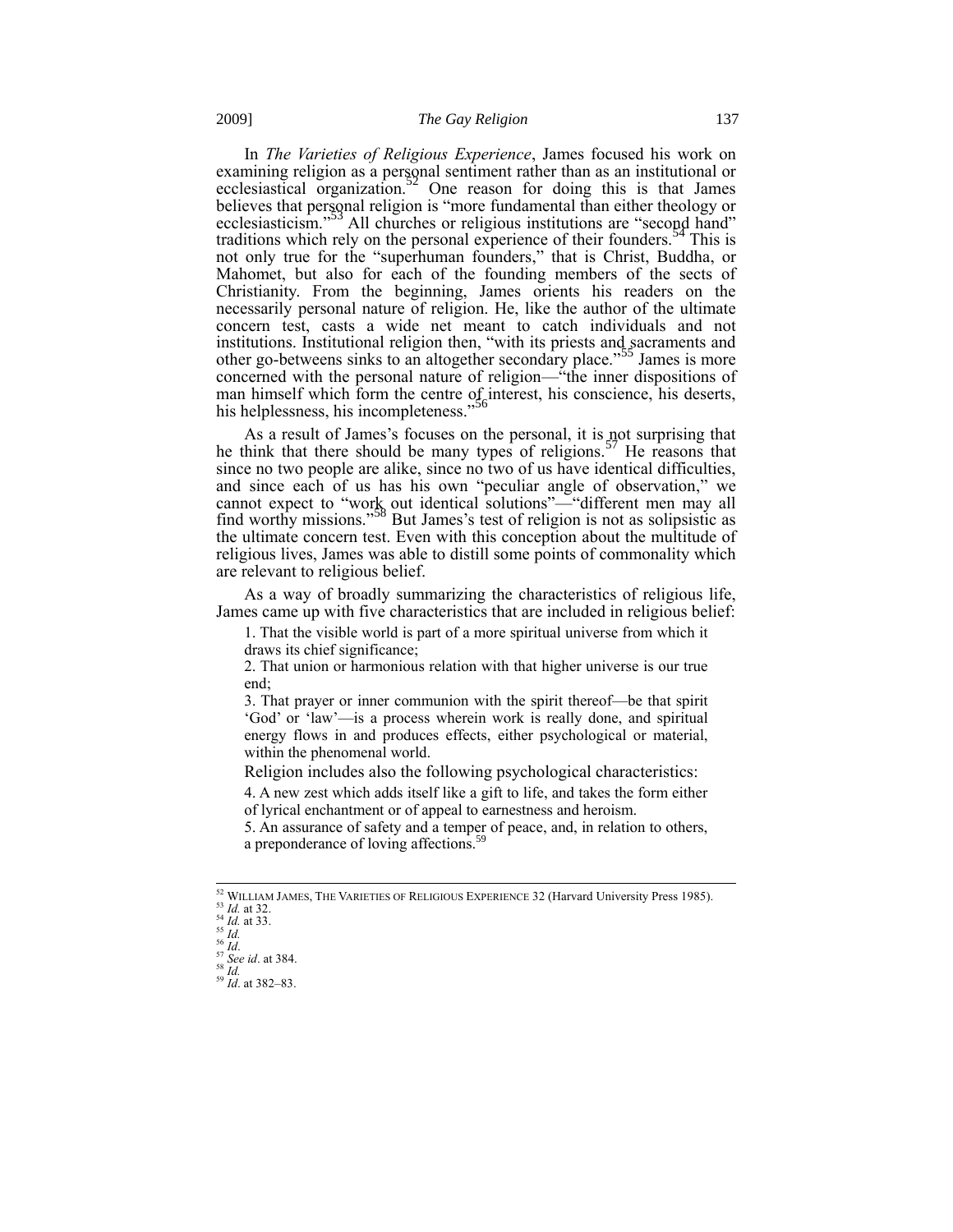In *The Varieties of Religious Experience*, James focused his work on examining religion as a personal sentiment rather than as an institutional or ecclesiastical organization.<sup>52</sup> One reason for doing this is that James believes that personal religion is "more fundamental than either theology or ecclesiasticism."<sup>53</sup> All churches or religious institutions are "second hand" traditions which rely on the personal experience of their founders.<sup>34</sup> This is not only true for the "superhuman founders," that is Christ, Buddha, or Mahomet, but also for each of the founding members of the sects of Christianity. From the beginning, James orients his readers on the necessarily personal nature of religion. He, like the author of the ultimate concern test, casts a wide net meant to catch individuals and not institutions. Institutional religion then, "with its priests and sacraments and other go-betweens sinks to an altogether secondary place."<sup>55</sup> James is more concerned with the personal nature of religion—"the inner dispositions of man himself which form the centre of interest, his conscience, his deserts, his helplessness, his incompleteness.<sup>556</sup>

As a result of James's focuses on the personal, it is not surprising that he think that there should be many types of religions.<sup>57</sup> He reasons that since no two people are alike, since no two of us have identical difficulties, and since each of us has his own "peculiar angle of observation," we cannot expect to "work out identical solutions"—"different men may all find worthy missions."<sup>58</sup> But James's test of religion is not as solipsistic as the ultimate concern test. Even with this conception about the multitude of religious lives, James was able to distill some points of commonality which are relevant to religious belief.

As a way of broadly summarizing the characteristics of religious life, James came up with five characteristics that are included in religious belief:

1. That the visible world is part of a more spiritual universe from which it draws its chief significance;

2. That union or harmonious relation with that higher universe is our true end;

3. That prayer or inner communion with the spirit thereof—be that spirit 'God' or 'law'—is a process wherein work is really done, and spiritual energy flows in and produces effects, either psychological or material, within the phenomenal world.

Religion includes also the following psychological characteristics:

4. A new zest which adds itself like a gift to life, and takes the form either of lyrical enchantment or of appeal to earnestness and heroism.

5. An assurance of safety and a temper of peace, and, in relation to others, a preponderance of loving affections.<sup>59</sup>

 $^{52}$  WILLIAM JAMES, THE VARIETIES OF RELIGIOUS EXPERIENCE 32 (Harvard University Press 1985).

<sup>53</sup> *Id.* at 32. <sup>54</sup> *Id.* at 33.

<sup>55</sup> *Id.*

<sup>56</sup> *Id*.

<sup>57</sup> *See id*. at 384.  $^{58} \tilde{I}$ .

<sup>59</sup> *Id*. at 382–83.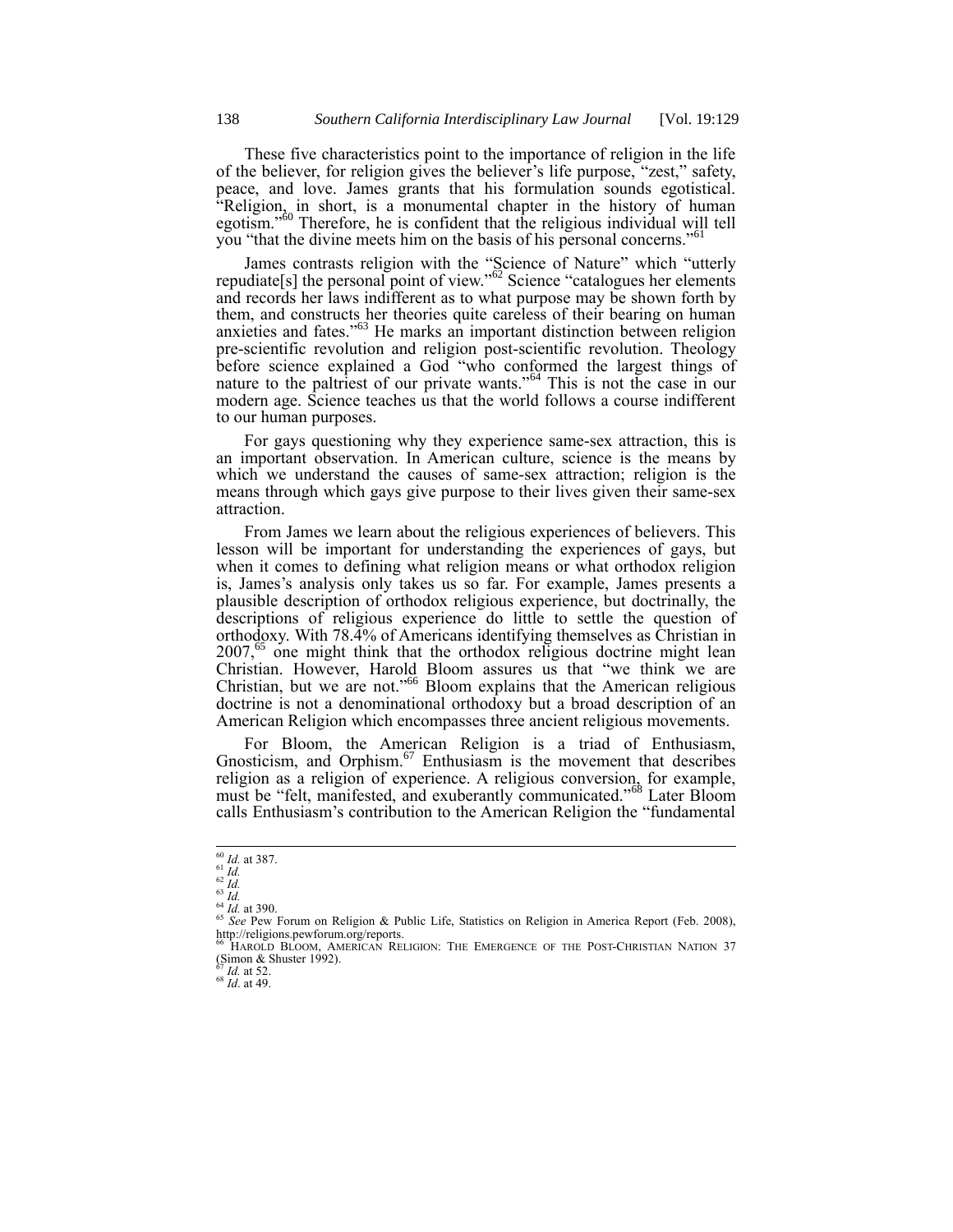These five characteristics point to the importance of religion in the life of the believer, for religion gives the believer's life purpose, "zest," safety, peace, and love. James grants that his formulation sounds egotistical. "Religion, in short, is a monumental chapter in the history of human egotism."<sup>60</sup> Therefore, he is confident that the religious individual will tell you "that the divine meets him on the basis of his personal concerns."<sup>61</sup>

James contrasts religion with the "Science of Nature" which "utterly repudiate[s] the personal point of view."<sup>62</sup> Science "catalogues her elements and records her laws indifferent as to what purpose may be shown forth by them, and constructs her theories quite careless of their bearing on human anxieties and fates."<sup>63</sup> He marks an important distinction between religion pre-scientific revolution and religion post-scientific revolution. Theology before science explained a God "who conformed the largest things of nature to the paltriest of our private wants."<sup>64</sup> This is not the case in our modern age. Science teaches us that the world follows a course indifferent to our human purposes.

For gays questioning why they experience same-sex attraction, this is an important observation. In American culture, science is the means by which we understand the causes of same-sex attraction; religion is the means through which gays give purpose to their lives given their same-sex attraction.

From James we learn about the religious experiences of believers. This lesson will be important for understanding the experiences of gays, but when it comes to defining what religion means or what orthodox religion is, James's analysis only takes us so far. For example, James presents a plausible description of orthodox religious experience, but doctrinally, the descriptions of religious experience do little to settle the question of orthodoxy. With 78.4% of Americans identifying themselves as Christian in  $2007<sup>65</sup>$  one might think that the orthodox religious doctrine might lean Christian. However, Harold Bloom assures us that "we think we are Christian, but we are not."<sup>66</sup> Bloom explains that the American religious doctrine is not a denominational orthodoxy but a broad description of an American Religion which encompasses three ancient religious movements.

For Bloom, the American Religion is a triad of Enthusiasm, Gnosticism, and Orphism.<sup>67</sup> Enthusiasm is the movement that describes religion as a religion of experience. A religious conversion, for example, must be "felt, manifested, and exuberantly communicated."<sup>68</sup> Later Bloom calls Enthusiasm's contribution to the American Religion the "fundamental

1

*Id.* at 52.

<sup>68</sup> *Id*. at 49.

<sup>60</sup> *Id.* at 387. <sup>61</sup> *Id.* <sup>62</sup> *Id.*

<sup>63</sup> *Id.*

<sup>64</sup> *Id.* at 390. <sup>65</sup> *See* Pew Forum on Religion & Public Life, Statistics on Religion in America Report (Feb. 2008), http://religions.pewforum.org/reports.

<sup>&</sup>lt;sup>66</sup> HAROLD BLOOM, AMERICAN RELIGION: THE EMERGENCE OF THE POST-CHRISTIAN NATION 37<br>(Simon & Shuster 1992).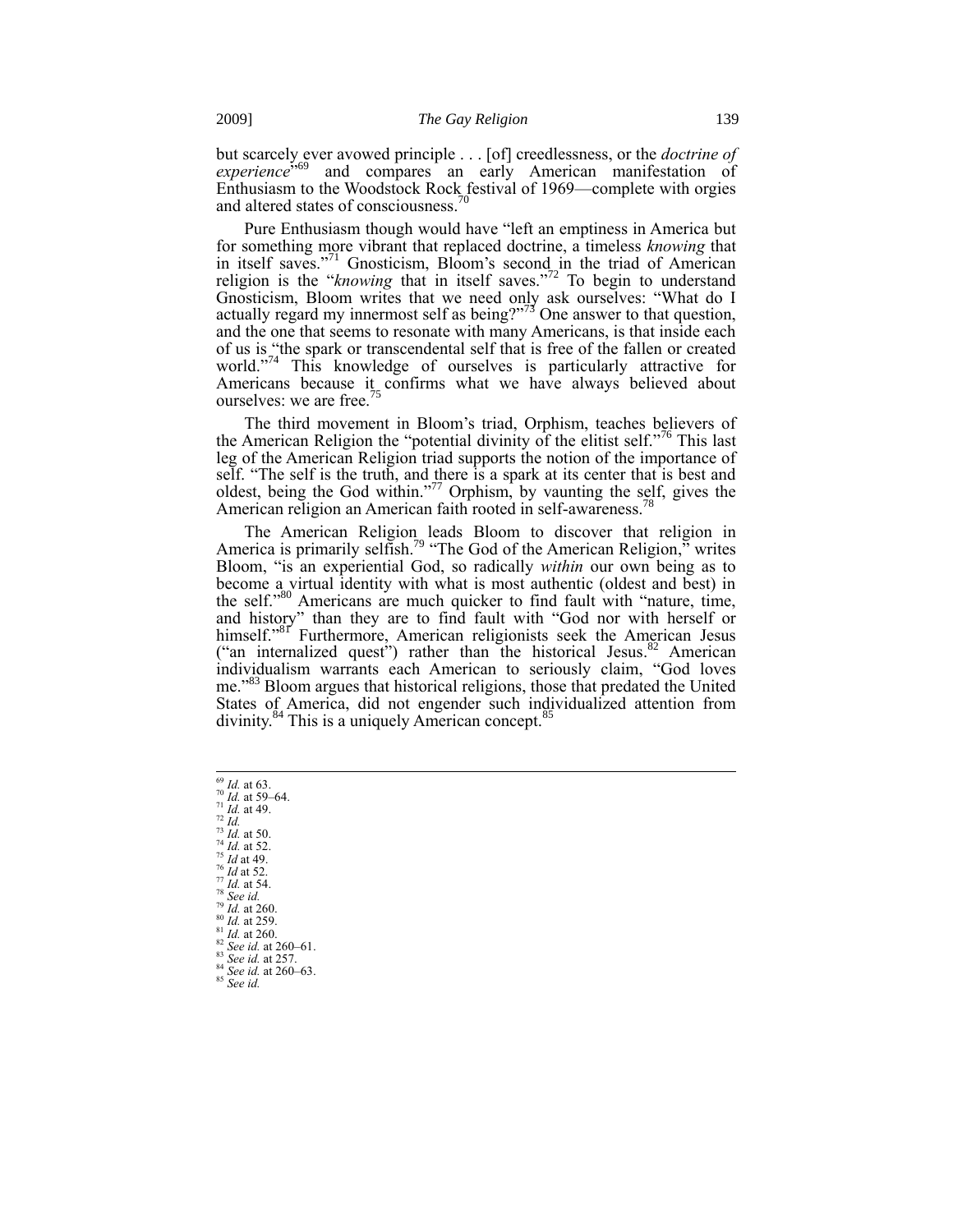but scarcely ever avowed principle . . . [of] creedlessness, or the *doctrine of*  experience<sup>5,69</sup> and compares an early American manifestation of Enthusiasm to the Woodstock Rock festival of 1969—complete with orgies and altered states of consciousness.<sup>70</sup>

Pure Enthusiasm though would have "left an emptiness in America but for something more vibrant that replaced doctrine, a timeless *knowing* that in itself saves."<sup>71</sup> Gnosticism, Bloom's second in the triad of American religion is the "*knowing* that in itself saves."<sup>72</sup> To begin to understand Gnosticism, Bloom writes that we need only ask ourselves: "What do I actually regard my innermost self as being?"<sup>73</sup> One answer to that question, and the one that seems to resonate with many Americans, is that inside each of us is "the spark or transcendental self that is free of the fallen or created world."<sup>74</sup> This knowledge of ourselves is particularly attractive for Americans because it confirms what we have always believed about ourselves: we are free.<sup>75</sup>

The third movement in Bloom's triad, Orphism, teaches believers of the American Religion the "potential divinity of the elitist self."<sup>76</sup> This last leg of the American Religion triad supports the notion of the importance of self. "The self is the truth, and there is a spark at its center that is best and oldest, being the God within."<sup>77</sup> Orphism, by vaunting the self, gives the American religion an American faith rooted in self-awareness.<sup>78</sup>

The American Religion leads Bloom to discover that religion in America is primarily selfish.<sup>79</sup> "The God of the American Religion," writes Bloom, "is an experiential God, so radically *within* our own being as to become a virtual identity with what is most authentic (oldest and best) in the self."<sup>80</sup> Americans are much quicker to find fault with "nature, time, and history" than they are to find fault with "God nor with herself or himself."<sup>81</sup> Furthermore, American religionists seek the American Jesus ("an internalized quest") rather than the historical Jesus.<sup>82</sup> American individualism warrants each American to seriously claim, "God loves me."<sup>83</sup> Bloom argues that historical religions, those that predated the United States of America, did not engender such individualized attention from divinity.<sup>84</sup> This is a uniquely American concept.<sup>85</sup>

 *Id.* at 63. <sup>70</sup> *Id.* at 59–64. *Id.* at 49. *Id.* <sup>73</sup> *Id.* at 50. *Id.* at 52. *Id* at 49. *Id* at 52. *Id.* at 54. *See id.*  <sup>79</sup> *Id.* at 260. *Id.* at 259. *Id.* at 260. *See id.* at 260–61. *See id.* at 257. *See id.* at 260–63. <sup>85</sup> *See id.*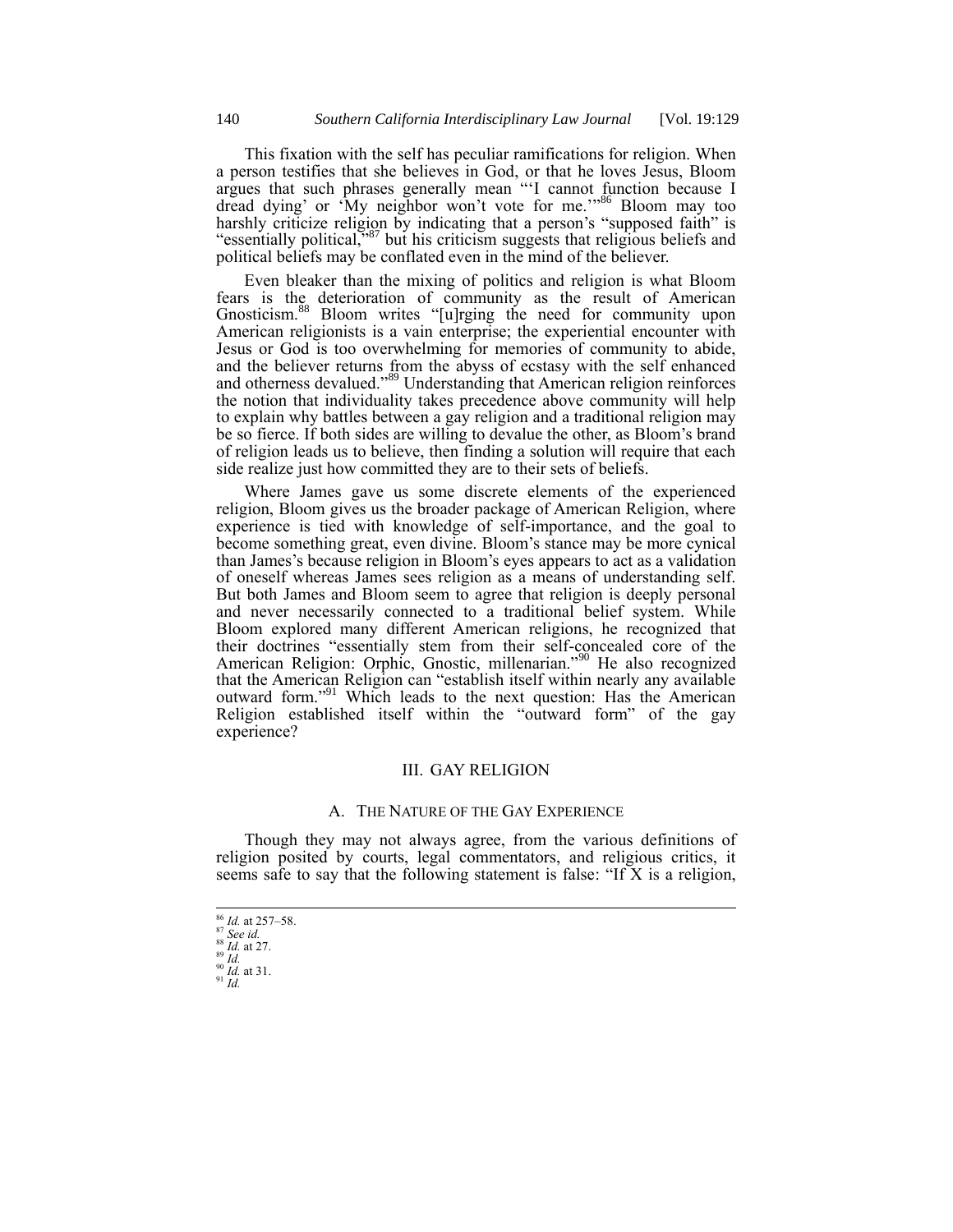This fixation with the self has peculiar ramifications for religion. When a person testifies that she believes in God, or that he loves Jesus, Bloom argues that such phrases generally mean "'I cannot function because I dread dying' or 'My neighbor won't vote for me."<sup>86</sup> Bloom may too harshly criticize religion by indicating that a person's "supposed faith" is "essentially political,"<sup>87</sup> but his criticism suggests that religious beliefs and political beliefs may be conflated even in the mind of the believer.

Even bleaker than the mixing of politics and religion is what Bloom fears is the deterioration of community as the result of American Gnosticism.<sup>88</sup> Bloom writes "[u]rging the need for community upon American religionists is a vain enterprise; the experiential encounter with Jesus or God is too overwhelming for memories of community to abide, and the believer returns from the abyss of ecstasy with the self enhanced and otherness devalued."<sup>89</sup> Understanding that American religion reinforces the notion that individuality takes precedence above community will help to explain why battles between a gay religion and a traditional religion may be so fierce. If both sides are willing to devalue the other, as Bloom's brand of religion leads us to believe, then finding a solution will require that each side realize just how committed they are to their sets of beliefs.

Where James gave us some discrete elements of the experienced religion, Bloom gives us the broader package of American Religion, where experience is tied with knowledge of self-importance, and the goal to become something great, even divine. Bloom's stance may be more cynical than James's because religion in Bloom's eyes appears to act as a validation of oneself whereas James sees religion as a means of understanding self. But both James and Bloom seem to agree that religion is deeply personal and never necessarily connected to a traditional belief system. While Bloom explored many different American religions, he recognized that their doctrines "essentially stem from their self-concealed core of the American Religion: Orphic, Gnostic, millenarian."<sup>90</sup> He also recognized that the American Religion can "establish itself within nearly any available outward form."<sup>91</sup> Which leads to the next question: Has the American Religion established itself within the "outward form" of the gay experience?

#### III. GAY RELIGION

#### A. THE NATURE OF THE GAY EXPERIENCE

Though they may not always agree, from the various definitions of religion posited by courts, legal commentators, and religious critics, it seems safe to say that the following statement is false: "If X is a religion,

 <sup>86</sup> *Id.* at 257–58.

<sup>87</sup> *See id.*

<sup>88</sup> *Id.* at 27.  $\frac{89}{1}$   $\frac{10}{1}$ 

<sup>90</sup> *Id.* at 31. <sup>91</sup> *Id.*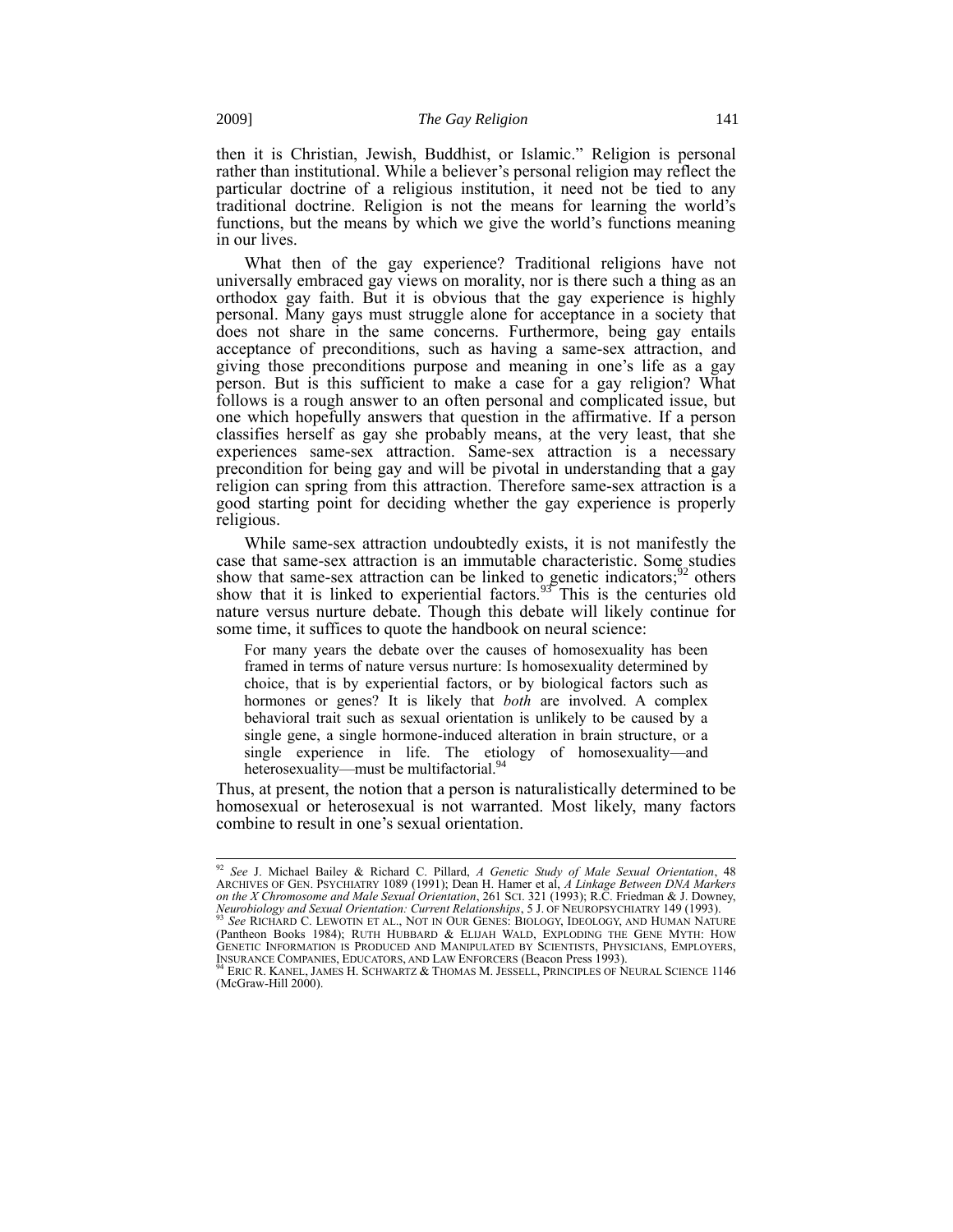then it is Christian, Jewish, Buddhist, or Islamic." Religion is personal rather than institutional. While a believer's personal religion may reflect the particular doctrine of a religious institution, it need not be tied to any traditional doctrine. Religion is not the means for learning the world's functions, but the means by which we give the world's functions meaning in our lives.

What then of the gay experience? Traditional religions have not universally embraced gay views on morality, nor is there such a thing as an orthodox gay faith. But it is obvious that the gay experience is highly personal. Many gays must struggle alone for acceptance in a society that does not share in the same concerns. Furthermore, being gay entails acceptance of preconditions, such as having a same-sex attraction, and giving those preconditions purpose and meaning in one's life as a gay person. But is this sufficient to make a case for a gay religion? What follows is a rough answer to an often personal and complicated issue, but one which hopefully answers that question in the affirmative. If a person classifies herself as gay she probably means, at the very least, that she experiences same-sex attraction. Same-sex attraction is a necessary precondition for being gay and will be pivotal in understanding that a gay religion can spring from this attraction. Therefore same-sex attraction is a good starting point for deciding whether the gay experience is properly religious.

While same-sex attraction undoubtedly exists, it is not manifestly the case that same-sex attraction is an immutable characteristic. Some studies show that same-sex attraction can be linked to genetic indicators;  $^{92}$  others show that it is linked to experiential factors.<sup>93</sup> This is the centuries old nature versus nurture debate. Though this debate will likely continue for some time, it suffices to quote the handbook on neural science:

For many years the debate over the causes of homosexuality has been framed in terms of nature versus nurture: Is homosexuality determined by choice, that is by experiential factors, or by biological factors such as hormones or genes? It is likely that *both* are involved. A complex behavioral trait such as sexual orientation is unlikely to be caused by a single gene, a single hormone-induced alteration in brain structure, or a single experience in life. The etiology of homosexuality—and heterosexuality—must be multifactorial.<sup>94</sup>

Thus, at present, the notion that a person is naturalistically determined to be homosexual or heterosexual is not warranted. Most likely, many factors combine to result in one's sexual orientation.

 $\overline{1}$ 

<sup>92</sup> *See* J. Michael Bailey & Richard C. Pillard, *A Genetic Study of Male Sexual Orientation*, 48 ARCHIVES OF GEN. PSYCHIATRY 1089 (1991); Dean H. Hamer et al, *A Linkage Between DNA Markers on the X Chromosome and Male Sexual Orientation*, 261 SCI. 321 (1993); R.C. Friedman & J. Downey, *Neurobiology and Sexual Orientation: Current Relationships*, 5 J. OF NEUROPSYCHIATRY 149 (1993). <sup>93</sup> *See* RICHARD C. LEWOTIN ET AL., NOT IN OUR GENES: BIOLOGY, IDEOLOGY, AND HUMAN NATURE (Pantheon Books 1984); RUTH HUBBARD & ELIJAH WALD, EXPLODING THE GENE MYTH: HOW GENETIC INFORMATION IS PRODUCED AND MANIPULATED BY SCIENTISTS, PHYSICIANS, EMPLOYERS,<br>INSURANCE COMPANIES, EDUCATORS, AND LAW ENFORCERS (Beacon Press 1993).<br><sup>94</sup> Eric R. Kanel, James H. Schwartz & Thomas M. Jessell, Princi

<sup>(</sup>McGraw-Hill 2000).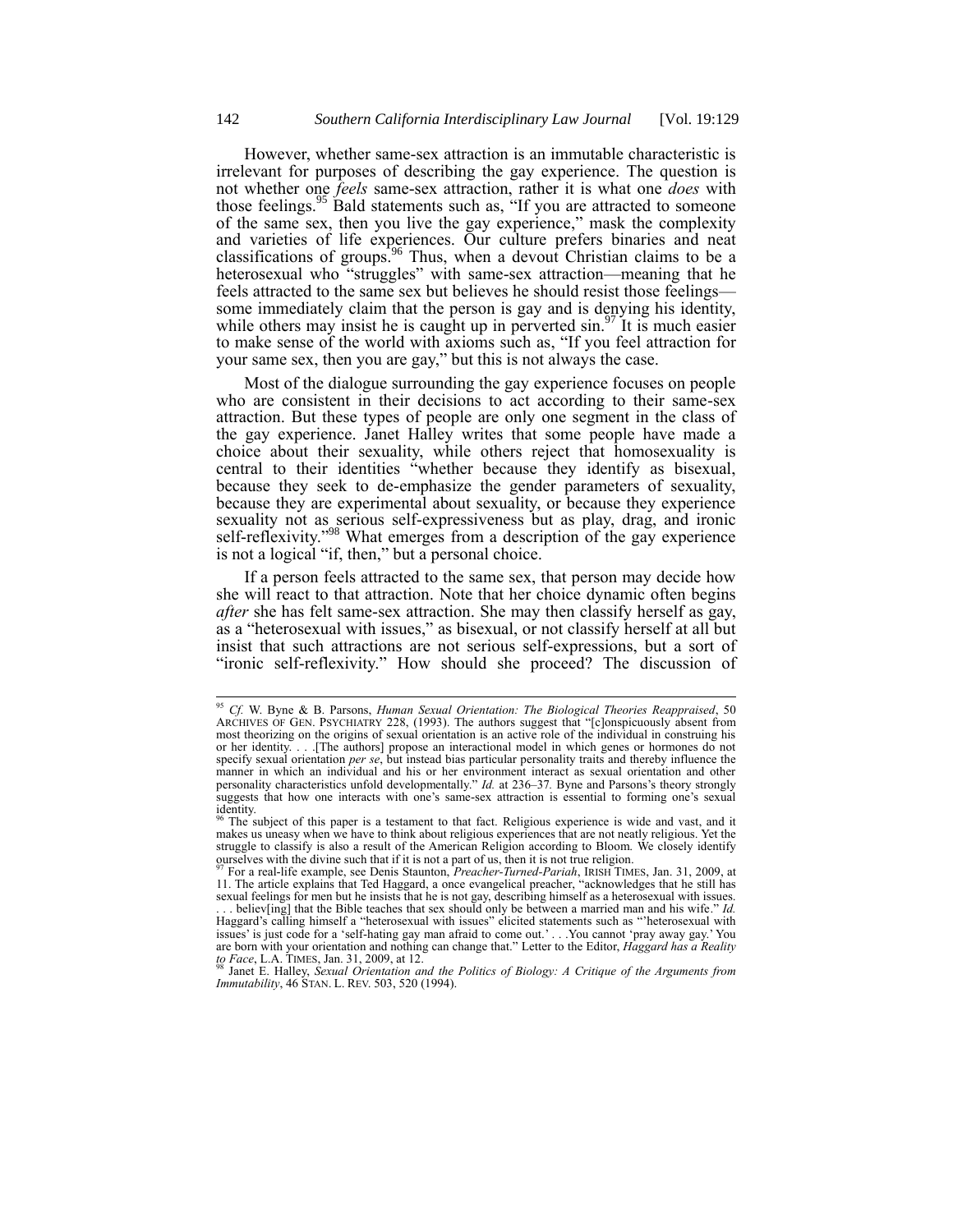However, whether same-sex attraction is an immutable characteristic is irrelevant for purposes of describing the gay experience. The question is not whether one *feels* same-sex attraction, rather it is what one *does* with those feelings.<sup>95</sup> Bald statements such as, "If you are attracted to someone of the same sex, then you live the gay experience," mask the complexity and varieties of life experiences. Our culture prefers binaries and neat classifications of groups.<sup>96</sup> Thus, when a devout Christian claims to be a heterosexual who "struggles" with same-sex attraction—meaning that he feels attracted to the same sex but believes he should resist those feelings some immediately claim that the person is gay and is denying his identity, while others may insist he is caught up in perverted  $\sin^{97}$  It is much easier to make sense of the world with axioms such as, "If you feel attraction for your same sex, then you are gay," but this is not always the case.

Most of the dialogue surrounding the gay experience focuses on people who are consistent in their decisions to act according to their same-sex attraction. But these types of people are only one segment in the class of the gay experience. Janet Halley writes that some people have made a choice about their sexuality, while others reject that homosexuality is central to their identities "whether because they identify as bisexual, because they seek to de-emphasize the gender parameters of sexuality, because they are experimental about sexuality, or because they experience sexuality not as serious self-expressiveness but as play, drag, and ironic self-reflexivity."<sup>98</sup> What emerges from a description of the gay experience is not a logical "if, then," but a personal choice.

If a person feels attracted to the same sex, that person may decide how she will react to that attraction. Note that her choice dynamic often begins *after* she has felt same-sex attraction. She may then classify herself as gay, as a "heterosexual with issues," as bisexual, or not classify herself at all but insist that such attractions are not serious self-expressions, but a sort of "ironic self-reflexivity." How should she proceed? The discussion of

<sup>95</sup> *Cf.* W. Byne & B. Parsons, *Human Sexual Orientation: The Biological Theories Reappraised*, 50 ARCHIVES OF GEN. PSYCHIATRY 228, (1993). The authors suggest that "[c]onspicuously absent from most theorizing on the origins of sexual orientation is an active role of the individual in construing his or her identity. . . .[The authors] propose an interactional model in which genes or hormones do not specify sexual orientation *per se*, but instead bias particular personality traits and thereby influence the manner in which an individual and his or her environment interact as sexual orientation and other personality characteristics unfold developmentally." *Id.* at 236–37*.* Byne and Parsons's theory strongly suggests that how one interacts with one's same-sex attraction is essential to forming one's sexual identity.

<sup>&</sup>lt;sup>6</sup> The subject of this paper is a testament to that fact. Religious experience is wide and vast, and it makes us uneasy when we have to think about religious experiences that are not neatly religious. Yet the struggle to classify is also a result of the American Religion according to Bloom. We closely identify ourselves with the divine such that if it is not a part of us, then it is not true religion.

<sup>&</sup>lt;sup>97</sup> For a real-life example, see Denis Staunton, *Preacher-Turned-Pariah*, IRISH TIMES, Jan. 31, 2009, at 11. The article explains that Ted Haggard, a once evangelical preacher, "acknowledges that he still has sexual feelings for men but he insists that he is not gay, describing himself as a heterosexual with issues.

believ[ing] that the Bible teaches that sex should only be between a married man and his wife." *Id.* Haggard's calling himself a "heterosexual with issues" elicited statements such as "'heterosexual with issues' is just code for a 'self-hating gay man afraid to come out.' . . .You cannot 'pray away gay.' You are born with your orientation and nothing can change that." Letter to the Editor, *Haggard has a Reality to Face*, L.A. TIMES, Jan. 31, 2009, at 12.

<sup>98</sup> Janet E. Halley, *Sexual Orientation and the Politics of Biology: A Critique of the Arguments from Immutability*, 46 STAN. L. REV. 503, 520 (1994).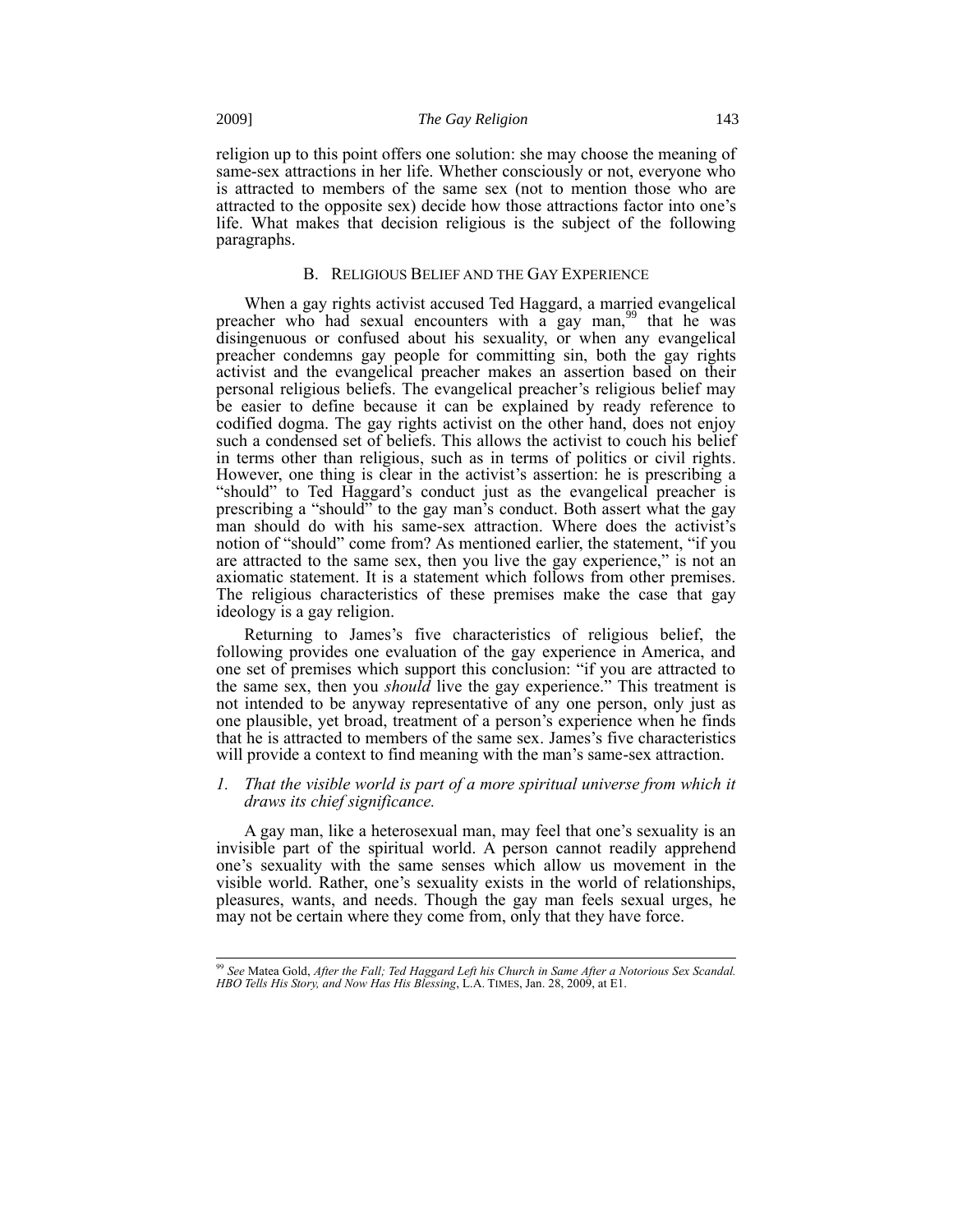religion up to this point offers one solution: she may choose the meaning of same-sex attractions in her life. Whether consciously or not, everyone who is attracted to members of the same sex (not to mention those who are attracted to the opposite sex) decide how those attractions factor into one's life. What makes that decision religious is the subject of the following paragraphs.

#### B. RELIGIOUS BELIEF AND THE GAY EXPERIENCE

When a gay rights activist accused Ted Haggard, a married evangelical preacher who had sexual encounters with a gay man,<sup>99</sup> that he was disingenuous or confused about his sexuality, or when any evangelical preacher condemns gay people for committing sin, both the gay rights activist and the evangelical preacher makes an assertion based on their personal religious beliefs. The evangelical preacher's religious belief may be easier to define because it can be explained by ready reference to codified dogma. The gay rights activist on the other hand, does not enjoy such a condensed set of beliefs. This allows the activist to couch his belief in terms other than religious, such as in terms of politics or civil rights. However, one thing is clear in the activist's assertion: he is prescribing a "should" to Ted Haggard's conduct just as the evangelical preacher is prescribing a "should" to the gay man's conduct. Both assert what the gay man should do with his same-sex attraction. Where does the activist's notion of "should" come from? As mentioned earlier, the statement, "if you are attracted to the same sex, then you live the gay experience," is not an axiomatic statement. It is a statement which follows from other premises. The religious characteristics of these premises make the case that gay ideology is a gay religion.

Returning to James's five characteristics of religious belief, the following provides one evaluation of the gay experience in America, and one set of premises which support this conclusion: "if you are attracted to the same sex, then you *should* live the gay experience." This treatment is not intended to be anyway representative of any one person, only just as one plausible, yet broad, treatment of a person's experience when he finds that he is attracted to members of the same sex. James's five characteristics will provide a context to find meaning with the man's same-sex attraction.

#### *1. That the visible world is part of a more spiritual universe from which it draws its chief significance.*

A gay man, like a heterosexual man, may feel that one's sexuality is an invisible part of the spiritual world. A person cannot readily apprehend one's sexuality with the same senses which allow us movement in the visible world. Rather, one's sexuality exists in the world of relationships, pleasures, wants, and needs. Though the gay man feels sexual urges, he may not be certain where they come from, only that they have force.

<sup>99</sup> *See* Matea Gold, *After the Fall; Ted Haggard Left his Church in Same After a Notorious Sex Scandal. HBO Tells His Story, and Now Has His Blessing*, L.A. TIMES, Jan. 28, 2009, at E1.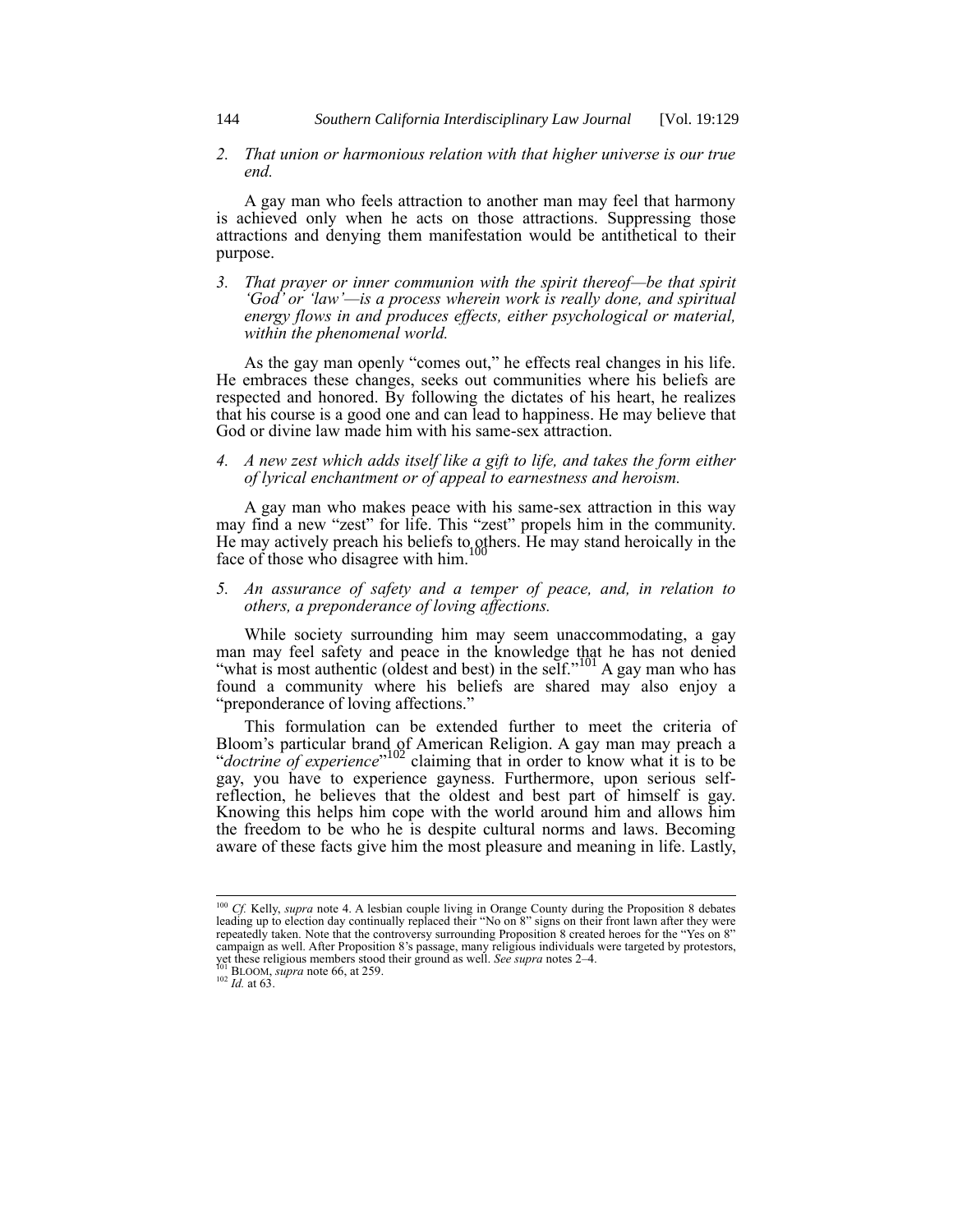*2. That union or harmonious relation with that higher universe is our true end.*

A gay man who feels attraction to another man may feel that harmony is achieved only when he acts on those attractions. Suppressing those attractions and denying them manifestation would be antithetical to their purpose.

*3. That prayer or inner communion with the spirit thereof—be that spirit 'God' or 'law'—is a process wherein work is really done, and spiritual energy flows in and produces effects, either psychological or material, within the phenomenal world.*

As the gay man openly "comes out," he effects real changes in his life. He embraces these changes, seeks out communities where his beliefs are respected and honored. By following the dictates of his heart, he realizes that his course is a good one and can lead to happiness. He may believe that God or divine law made him with his same-sex attraction.

#### *4. A new zest which adds itself like a gift to life, and takes the form either of lyrical enchantment or of appeal to earnestness and heroism.*

A gay man who makes peace with his same-sex attraction in this way may find a new "zest" for life. This "zest" propels him in the community. He may actively preach his beliefs to others. He may stand heroically in the 100 face of those who disagree with him.

*5. An assurance of safety and a temper of peace, and, in relation to others, a preponderance of loving affections.* 

While society surrounding him may seem unaccommodating, a gay man may feel safety and peace in the knowledge that he has not denied "what is most authentic (oldest and best) in the self."<sup>101</sup> A gay man who has found a community where his beliefs are shared may also enjoy a "preponderance of loving affections."

This formulation can be extended further to meet the criteria of Bloom's particular brand of American Religion. A gay man may preach a "*doctrine of experience*" <sup>102</sup> claiming that in order to know what it is to be gay, you have to experience gayness. Furthermore, upon serious selfreflection, he believes that the oldest and best part of himself is gay. Knowing this helps him cope with the world around him and allows him the freedom to be who he is despite cultural norms and laws. Becoming aware of these facts give him the most pleasure and meaning in life. Lastly,

<sup>&</sup>lt;sup>100</sup> *Cf.* Kelly, *supra* note 4. A lesbian couple living in Orange County during the Proposition 8 debates leading up to election day continually replaced their "No on 8" signs on their front lawn after they were repeatedly taken. Note that the controversy surrounding Proposition 8 created heroes for the "Yes on 8" campaign as well. After Proposition 8's passage, many religious individuals were targeted by protestors, yet these religious members stood their ground as well. *See supra* notes 2–4.

BLOOM, *supra* note 66, at 259.

 $^{102}$  *Id.* at 63.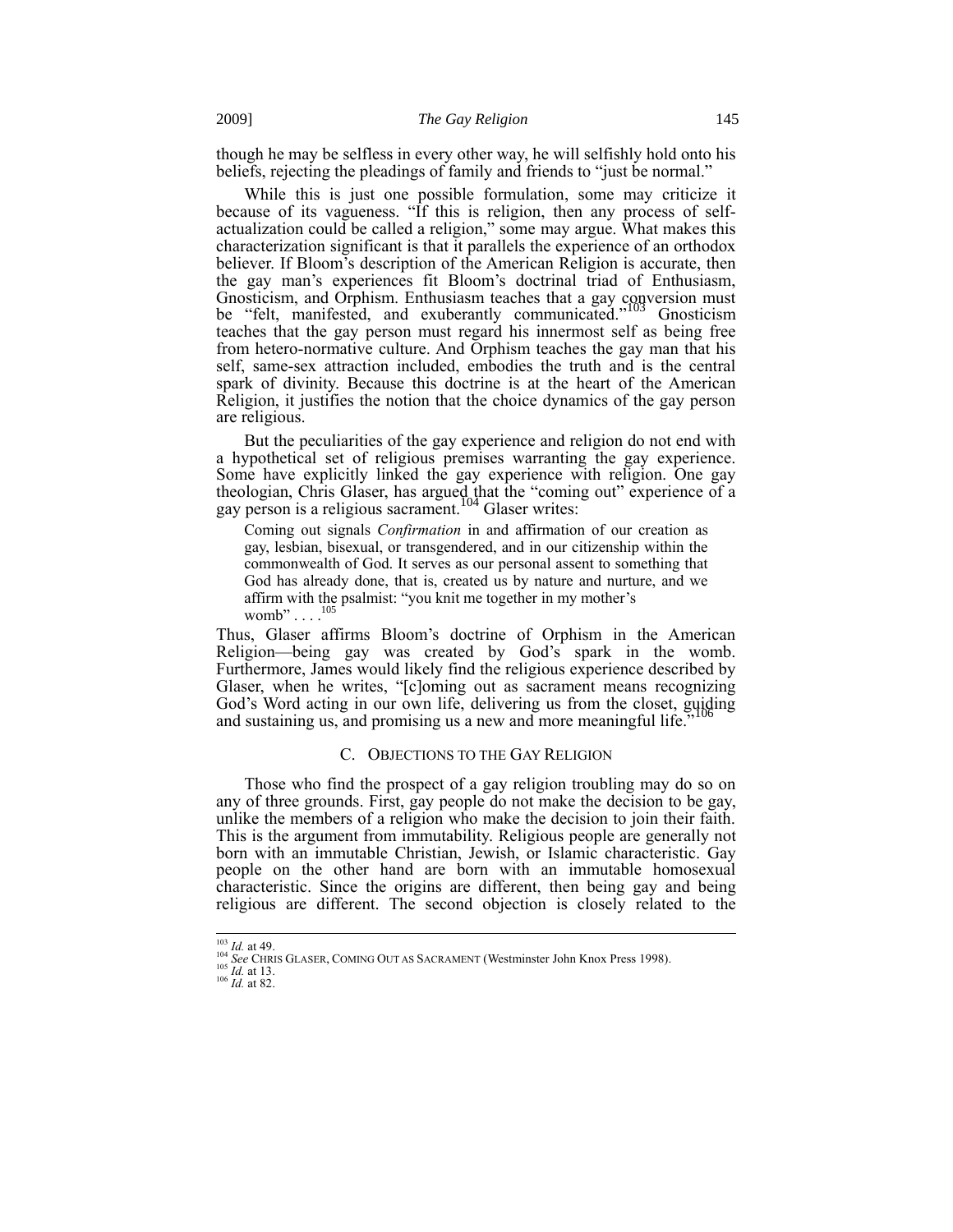though he may be selfless in every other way, he will selfishly hold onto his beliefs, rejecting the pleadings of family and friends to "just be normal."

While this is just one possible formulation, some may criticize it because of its vagueness. "If this is religion, then any process of selfactualization could be called a religion," some may argue. What makes this characterization significant is that it parallels the experience of an orthodox believer. If Bloom's description of the American Religion is accurate, then the gay man's experiences fit Bloom's doctrinal triad of Enthusiasm, Gnosticism, and Orphism. Enthusiasm teaches that a gay conversion must be "felt, manifested, and exuberantly communicated."<sup>103</sup> Gnosticism teaches that the gay person must regard his innermost self as being free from hetero-normative culture. And Orphism teaches the gay man that his self, same-sex attraction included, embodies the truth and is the central spark of divinity. Because this doctrine is at the heart of the American Religion, it justifies the notion that the choice dynamics of the gay person are religious.

But the peculiarities of the gay experience and religion do not end with a hypothetical set of religious premises warranting the gay experience. Some have explicitly linked the gay experience with religion. One gay theologian, Chris Glaser, has argued that the "coming out" experience of a gay person is a religious sacrament.<sup>104</sup> Glaser writes:

Coming out signals *Confirmation* in and affirmation of our creation as gay, lesbian, bisexual, or transgendered, and in our citizenship within the commonwealth of God. It serves as our personal assent to something that God has already done, that is, created us by nature and nurture, and we affirm with the psalmist: "you knit me together in my mother's womb"  $\ldots$ .  $^{105}$ 

Thus, Glaser affirms Bloom's doctrine of Orphism in the American Religion—being gay was created by God's spark in the womb. Furthermore, James would likely find the religious experience described by Glaser, when he writes, "[c]oming out as sacrament means recognizing God's Word acting in our own life, delivering us from the closet, guiding and sustaining us, and promising us a new and more meaningful life.

#### C. OBJECTIONS TO THE GAY RELIGION

Those who find the prospect of a gay religion troubling may do so on any of three grounds. First, gay people do not make the decision to be gay, unlike the members of a religion who make the decision to join their faith. This is the argument from immutability. Religious people are generally not born with an immutable Christian, Jewish, or Islamic characteristic. Gay people on the other hand are born with an immutable homosexual characteristic. Since the origins are different, then being gay and being religious are different. The second objection is closely related to the

 $^{103}$  *Id.* at 49.

<sup>&</sup>lt;sup>104</sup> See CHRIS GLASER, COMING OUT AS SACRAMENT (Westminster John Knox Press 1998).

<sup>105</sup> *Id.* at 13.  $^{106}$  *Id.* at 82.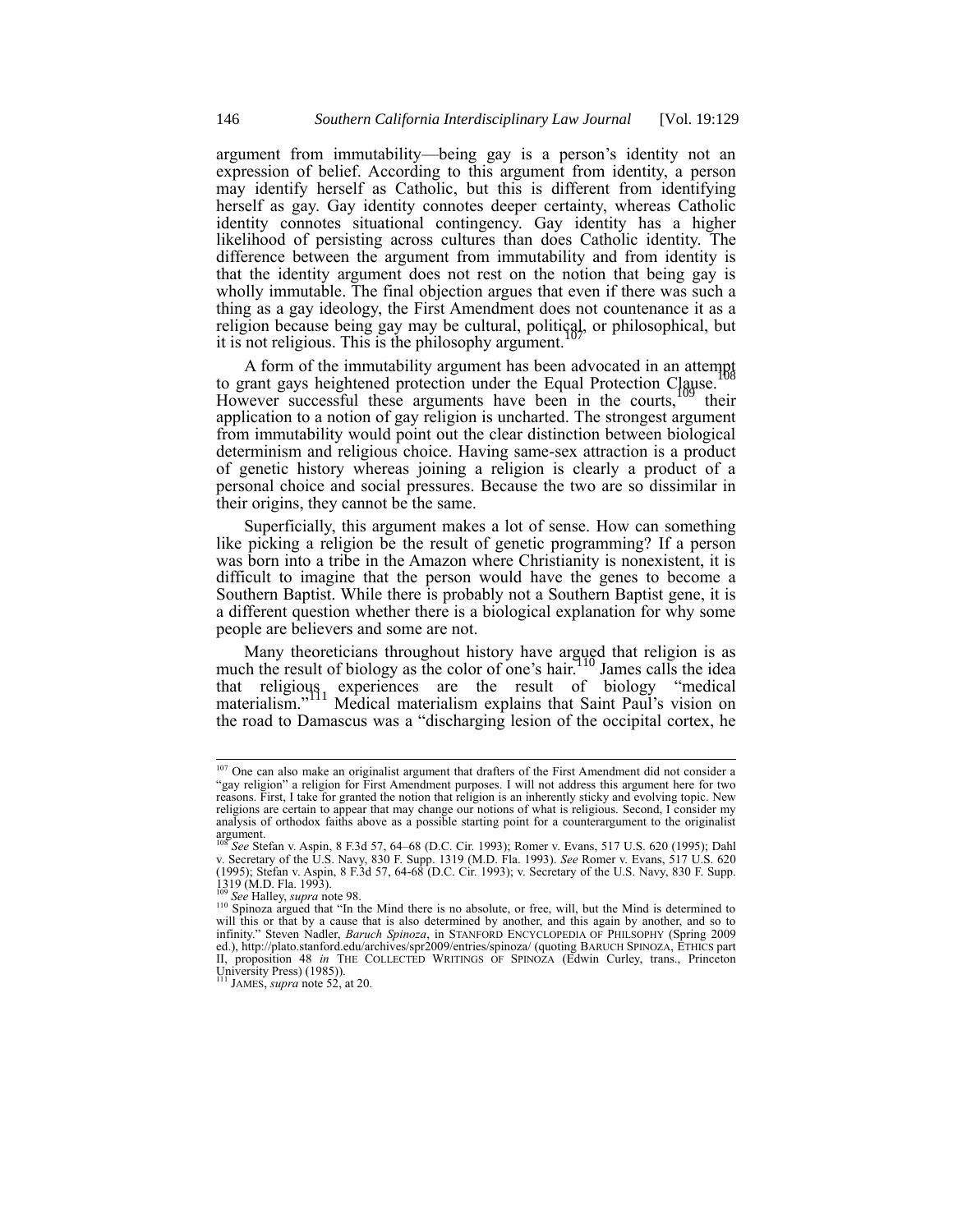argument from immutability—being gay is a person's identity not an expression of belief. According to this argument from identity, a person may identify herself as Catholic, but this is different from identifying herself as gay. Gay identity connotes deeper certainty, whereas Catholic identity connotes situational contingency. Gay identity has a higher likelihood of persisting across cultures than does Catholic identity. The difference between the argument from immutability and from identity is that the identity argument does not rest on the notion that being gay is wholly immutable. The final objection argues that even if there was such a thing as a gay ideology, the First Amendment does not countenance it as a religion because being gay may be cultural, political, or philosophical, but it is not religious. This is the philosophy argument.

A form of the immutability argument has been advocated in an attempt to grant gays heightened protection under the Equal Protection Clause.<sup>1</sup> However successful these arguments have been in the courts,  $109$  their application to a notion of gay religion is uncharted. The strongest argument from immutability would point out the clear distinction between biological determinism and religious choice. Having same-sex attraction is a product of genetic history whereas joining a religion is clearly a product of a personal choice and social pressures. Because the two are so dissimilar in their origins, they cannot be the same.

Superficially, this argument makes a lot of sense. How can something like picking a religion be the result of genetic programming? If a person was born into a tribe in the Amazon where Christianity is nonexistent, it is difficult to imagine that the person would have the genes to become a Southern Baptist. While there is probably not a Southern Baptist gene, it is a different question whether there is a biological explanation for why some people are believers and some are not.

Many theoreticians throughout history have argued that religion is as much the result of biology as the color of one's hair.<sup>10</sup> James calls the idea that religious experiences are the result of biology "medical materialism."<sup>111</sup> Medical materialism explains that Saint Paul's vision on the road to Damascus was a "discharging lesion of the occipital cortex, he

<sup>&</sup>lt;sup>107</sup> One can also make an originalist argument that drafters of the First Amendment did not consider a "gay religion" a religion for First Amendment purposes. I will not address this argument here for two reasons. First, I take for granted the notion that religion is an inherently sticky and evolving topic. New religions are certain to appear that may change our notions of what is religious. Second, I consider my analysis of orthodox faiths above as a possible starting point for a counterargument to the originalist argument.<br><sup>108</sup> *See* Stefan v. Aspin, 8 F.3d 57, 64–68 (D.C. Cir. 1993); Romer v. Evans, 517 U.S. 620 (1995); Dahl

v. Secretary of the U.S. Navy, 830 F. Supp. 1319 (M.D. Fla. 1993). See Romer v. Evans, 517 U.S. 620<br>(1995); Stefan v. Aspin, 8 F.3d 57, 64-68 (D.C. Cir. 1993); v. Secretary of the U.S. Navy, 830 F. Supp.<br>1319 (M.D. Fla. 19

See Halley, *supra* note 98.

<sup>&</sup>lt;sup>110</sup> Spinoza argued that "In the Mind there is no absolute, or free, will, but the Mind is determined to will this or that by a cause that is also determined by another, and this again by another, and so to infinity." Steven Nadler, *Baruch Spinoza*, in STANFORD ENCYCLOPEDIA OF PHILSOPHY (Spring 2009 ed.), http://plato.stanford.edu/archives/spr2009/entries/spinoza/ (quoting BARUCH SPINOZA, ETHICS part II, proposition 48 *in* THE COLLECTED WRITINGS OF SPINOZA (Edwin Curley, trans., Princeton University Press) (1985)). <sup>111</sup> JAMES, *supra* note 52, at 20.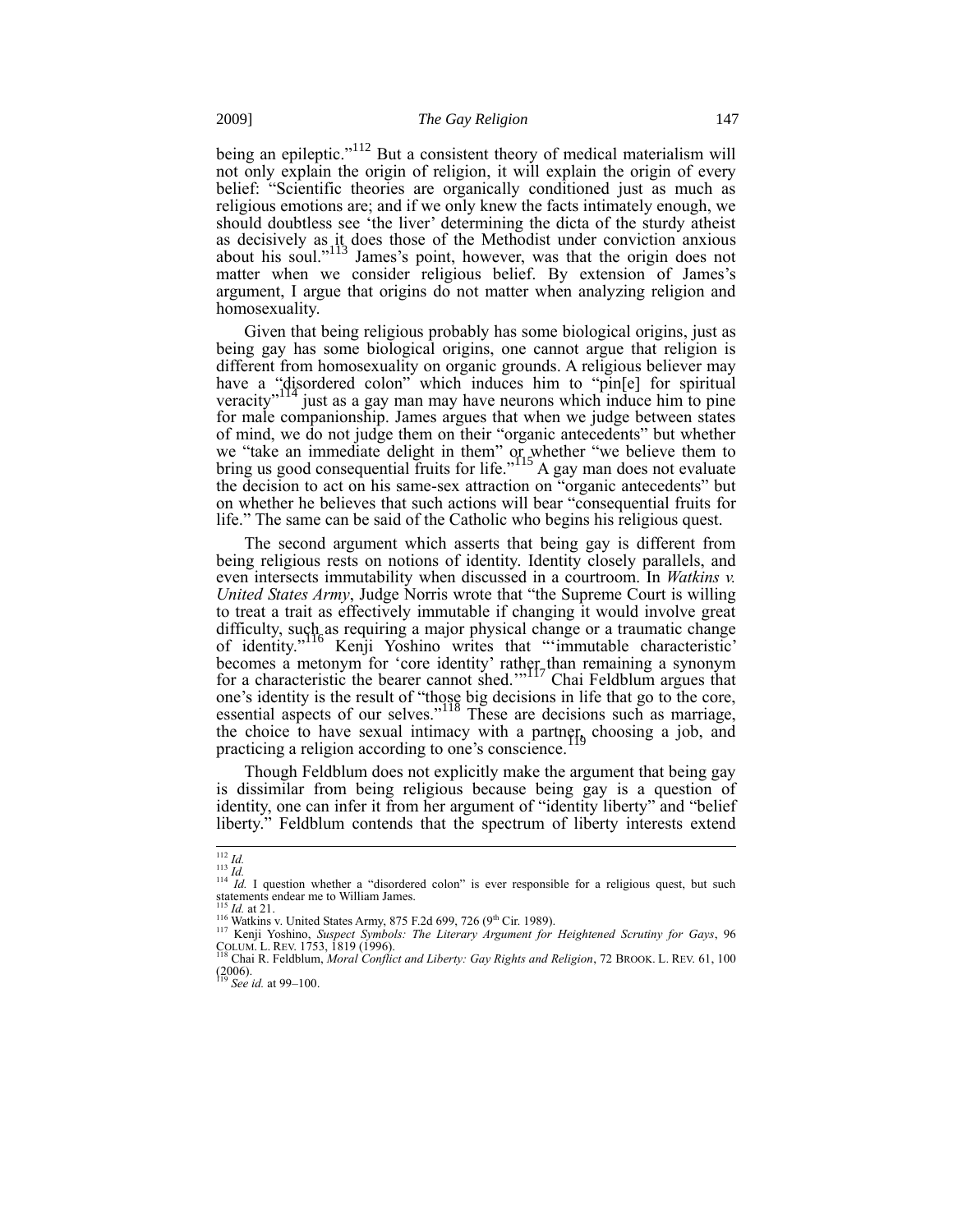being an epileptic."<sup>112</sup> But a consistent theory of medical materialism will not only explain the origin of religion, it will explain the origin of every belief: "Scientific theories are organically conditioned just as much as religious emotions are; and if we only knew the facts intimately enough, we should doubtless see 'the liver' determining the dicta of the sturdy atheist as decisively as it does those of the Methodist under conviction anxious about his soul."<sup>113</sup> James's point, however, was that the origin does not matter when we consider religious belief. By extension of James's argument, I argue that origins do not matter when analyzing religion and homosexuality.

Given that being religious probably has some biological origins, just as being gay has some biological origins, one cannot argue that religion is different from homosexuality on organic grounds. A religious believer may have a "disordered colon" which induces him to "pin[e] for spiritual veracity"<sup>114</sup> just as a gay man may have neurons which induce him to pine for male companionship. James argues that when we judge between states of mind, we do not judge them on their "organic antecedents" but whether we "take an immediate delight in them" or whether "we believe them to bring us good consequential fruits for life." A gay man does not evaluate the decision to act on his same-sex attraction on "organic antecedents" but on whether he believes that such actions will bear "consequential fruits for life." The same can be said of the Catholic who begins his religious quest.

The second argument which asserts that being gay is different from being religious rests on notions of identity. Identity closely parallels, and even intersects immutability when discussed in a courtroom. In *Watkins v. United States Army*, Judge Norris wrote that "the Supreme Court is willing to treat a trait as effectively immutable if changing it would involve great difficulty, such as requiring a major physical change or a traumatic change of identity.<sup>"116</sup> Kenji Yoshino writes that "'immutable characteristic' becomes a metonym for 'core identity' rather than remaining a synonym for a characteristic the bearer cannot shed.'"<sup>117</sup> Chai Feldblum argues that one's identity is the result of "those big decisions in life that go to the core, essential aspects of our selves."<sup>118</sup> These are decisions such as marriage, the choice to have sexual intimacy with a partner, choosing a job, and practicing a religion according to one's conscience.

Though Feldblum does not explicitly make the argument that being gay is dissimilar from being religious because being gay is a question of identity, one can infer it from her argument of "identity liberty" and "belief liberty." Feldblum contends that the spectrum of liberty interests extend

<sup>&</sup>lt;sup>112</sup> *Id.*<br><sup>113</sup> *Id.*<br><sup>114</sup> *Id.* I question whether a "disordered colon" is ever responsible for a religious quest, but such statements endear me to William James.<br>
<sup>115</sup> *Id.* at 21.

<sup>&</sup>lt;sup>116</sup> Watkins v. United States Army, 875 F.2d 699, 726 (9<sup>th</sup> Cir. 1989).

<sup>117</sup> Kenji Yoshino, *Suspect Symbols: The Literary Argument for Heightened Scrutiny for Gays*, 96

COLUM. L. REV. 1753, 1819 (1996). <sup>118</sup> Chai R. Feldblum, *Moral Conflict and Liberty: Gay Rights and Religion*, 72 BROOK. L. REV. 61, 100 (2006). <sup>119</sup> *See id.* at 99–100.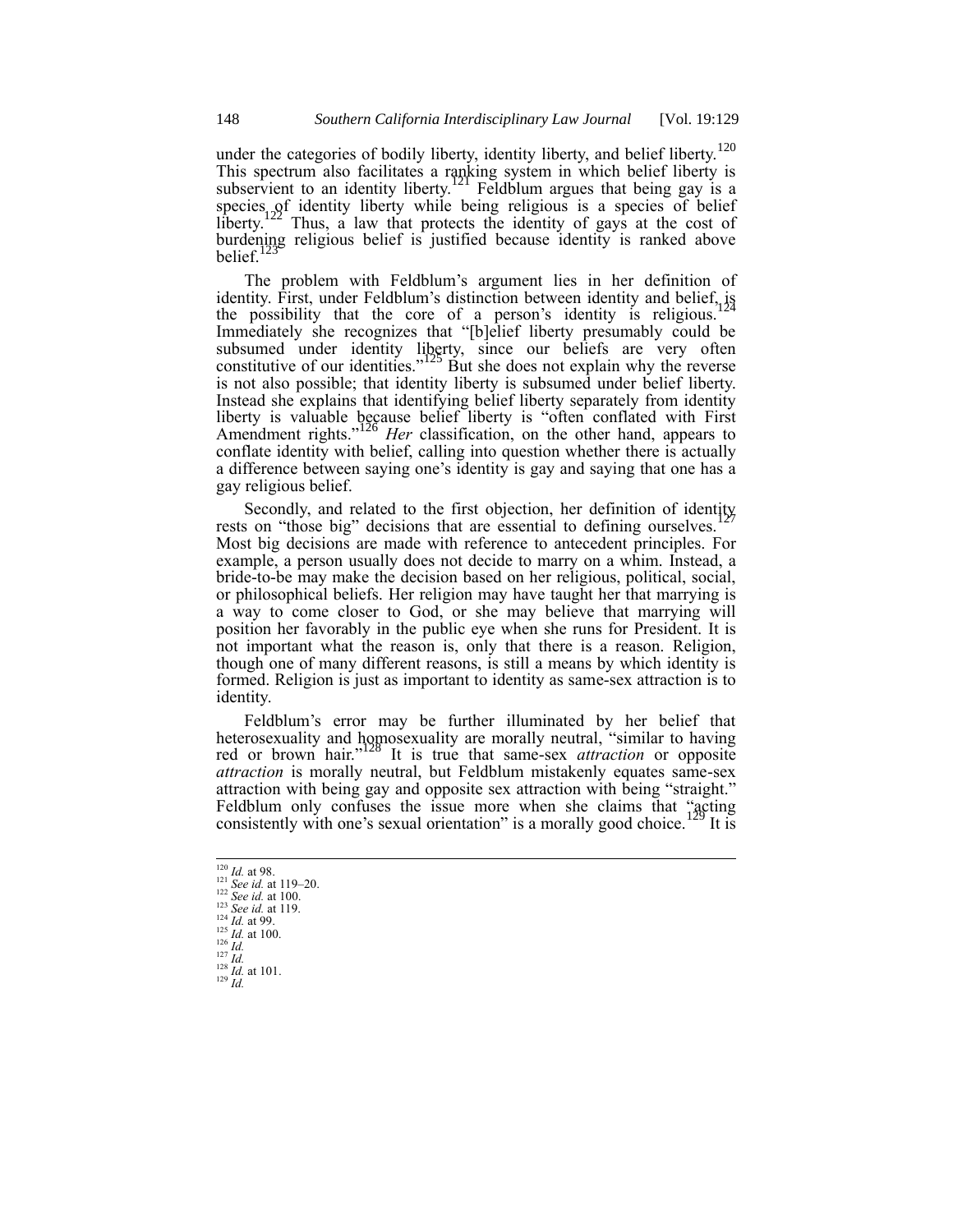under the categories of bodily liberty, identity liberty, and belief liberty.<sup>120</sup> This spectrum also facilitates a ranking system in which belief liberty is subservient to an identity liberty.<sup>121</sup> Feldblum argues that being gay is a species of identity liberty while being religious is a species of belief liberty.<sup>122</sup> Thus, a law that protects the identity of gays at the cost of burdening religious belief is justified because identity is ranked above belief.<sup>1</sup>

The problem with Feldblum's argument lies in her definition of identity. First, under Feldblum's distinction between identity and belief,  $i$ s the possibility that the core of a person's identity is religious.<sup>1</sup> Immediately she recognizes that "[b]elief liberty presumably could be subsumed under identity liberty, since our beliefs are very often constitutive of our identities."<sup>125</sup> But she does not explain why the reverse is not also possible; that identity liberty is subsumed under belief liberty. Instead she explains that identifying belief liberty separately from identity liberty is valuable because belief liberty is "often conflated with First Amendment rights."<sup>126</sup> *Her* classification, on the other hand, appears to conflate identity with belief, calling into question whether there is actually a difference between saying one's identity is gay and saying that one has a gay religious belief.

Secondly, and related to the first objection, her definition of identity rests on "those big" decisions that are essential to defining ourselves. Most big decisions are made with reference to antecedent principles. For example, a person usually does not decide to marry on a whim. Instead, a bride-to-be may make the decision based on her religious, political, social, or philosophical beliefs. Her religion may have taught her that marrying is a way to come closer to God, or she may believe that marrying will position her favorably in the public eye when she runs for President. It is not important what the reason is, only that there is a reason. Religion, though one of many different reasons, is still a means by which identity is formed. Religion is just as important to identity as same-sex attraction is to identity.

Feldblum's error may be further illuminated by her belief that heterosexuality and homosexuality are morally neutral, "similar to having red or brown hair."<sup>128</sup> It is true that same-sex *attraction* or opposite *attraction* is morally neutral, but Feldblum mistakenly equates same-sex attraction with being gay and opposite sex attraction with being "straight." Feldblum only confuses the issue more when she claims that "acting consistently with one's sexual orientation" is a morally good choice.<sup>129</sup> It is

 $\overline{\phantom{a}}$  $\frac{120}{120}$  *Id.* at 98. *See id.* at 119–20. *See id.* at 100. *See id.* at 119. <sup>124</sup> *Id.* at 99.  $\frac{125}{125}$  *Id.* at 100. *Id.* <sup>127</sup> *Id. Id.* at 101. <sup>129</sup> *Id.*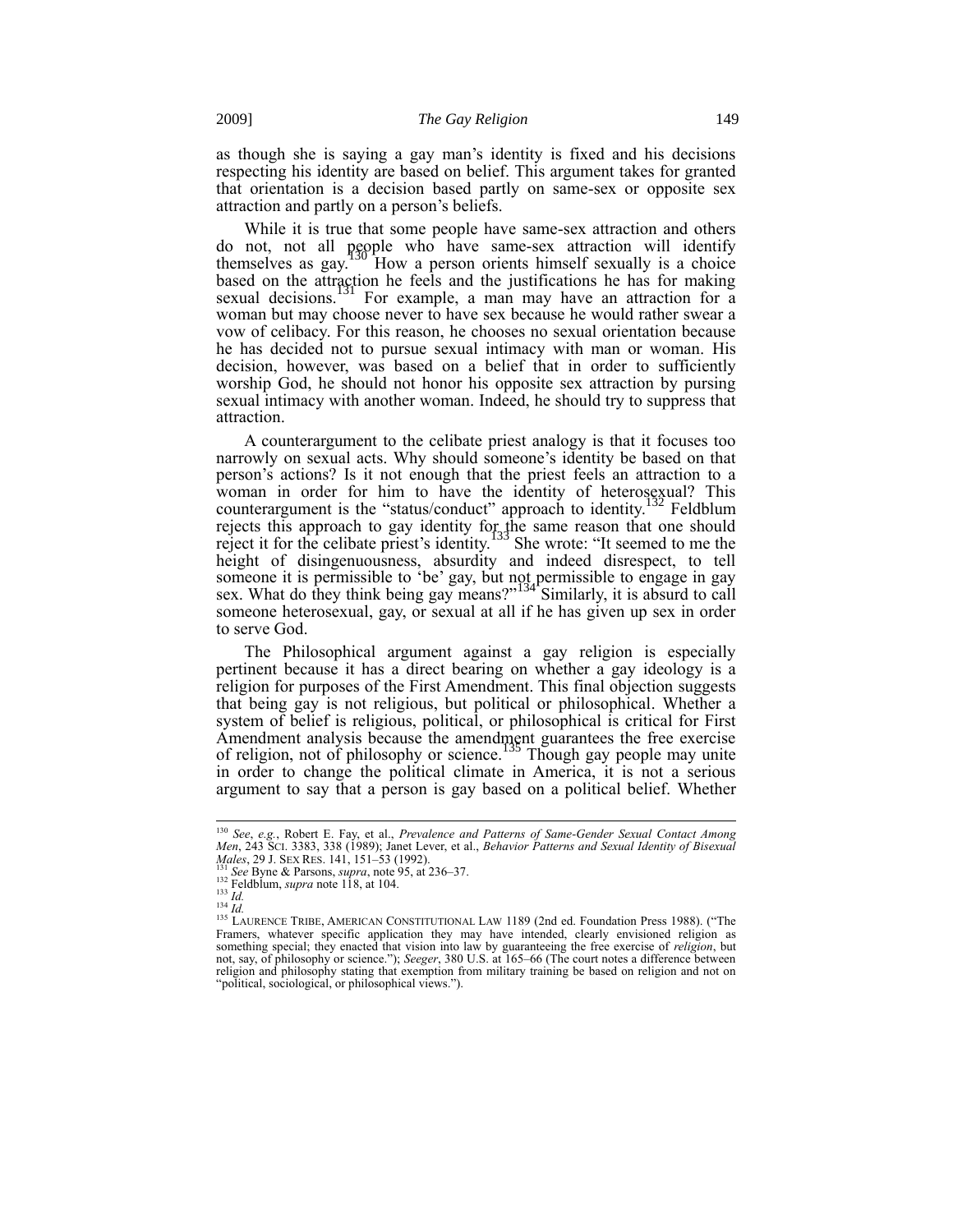as though she is saying a gay man's identity is fixed and his decisions respecting his identity are based on belief. This argument takes for granted that orientation is a decision based partly on same-sex or opposite sex attraction and partly on a person's beliefs.

While it is true that some people have same-sex attraction and others do not, not all people who have same-sex attraction will identify themselves as gay. How a person orients himself sexually is a choice based on the attraction he feels and the justifications he has for making sexual decisions.<sup>131</sup> For example, a man may have an attraction for a woman but may choose never to have sex because he would rather swear a vow of celibacy. For this reason, he chooses no sexual orientation because he has decided not to pursue sexual intimacy with man or woman. His decision, however, was based on a belief that in order to sufficiently worship God, he should not honor his opposite sex attraction by pursing sexual intimacy with another woman. Indeed, he should try to suppress that attraction.

A counterargument to the celibate priest analogy is that it focuses too narrowly on sexual acts. Why should someone's identity be based on that person's actions? Is it not enough that the priest feels an attraction to a woman in order for him to have the identity of heterosexual? This counterargument is the "status/conduct" approach to identity.<sup>132</sup> Feldblum rejects this approach to gay identity for the same reason that one should reject it for the celibate priest's identity.<sup>133</sup> She wrote: "It seemed to me the height of disingenuousness, absurdity and indeed disrespect, to tell someone it is permissible to 'be' gay, but not permissible to engage in gay sex. What do they think being gay means?"<sup>134</sup> Similarly, it is absurd to call someone heterosexual, gay, or sexual at all if he has given up sex in order to serve God.

The Philosophical argument against a gay religion is especially pertinent because it has a direct bearing on whether a gay ideology is a religion for purposes of the First Amendment. This final objection suggests that being gay is not religious, but political or philosophical. Whether a system of belief is religious, political, or philosophical is critical for First Amendment analysis because the amendment guarantees the free exercise of religion, not of philosophy or science.<sup>135</sup> Though gay people may unite in order to change the political climate in America, it is not a serious argument to say that a person is gay based on a political belief. Whether

<sup>&</sup>lt;sup>130</sup> See, e.g., Robert E. Fay, et al., *Prevalence and Patterns of Same-Gender Sexual Contact Among*<br>Men, 243 SCI. 3383, 338 (1989); Janet Lever, et al., *Behavior Patterns and Sexual Identity of Bisexual Males*, 29 J. SEX RES. 141, 151–53 (1992).

<sup>131</sup> *See* Byne & Parsons, *supra*, note 95, at 236–37. <sup>132</sup> Feldblum, *supra* note 118, at 104.

<sup>133</sup> *Id.* <sup>134</sup> *Id.*

<sup>&</sup>lt;sup>135</sup> LAURENCE TRIBE, AMERICAN CONSTITUTIONAL LAW 1189 (2nd ed. Foundation Press 1988). ("The Framers, whatever specific application they may have intended, clearly envisioned religion as something special; they enacted that vision into law by guaranteeing the free exercise of *religion*, but not, say, of philosophy or science."); *Seeger*, 380 U.S. at 165–66 (The court notes a difference between religion and philosophy stating that exemption from military training be based on religion and not on "political, sociological, or philosophical views.").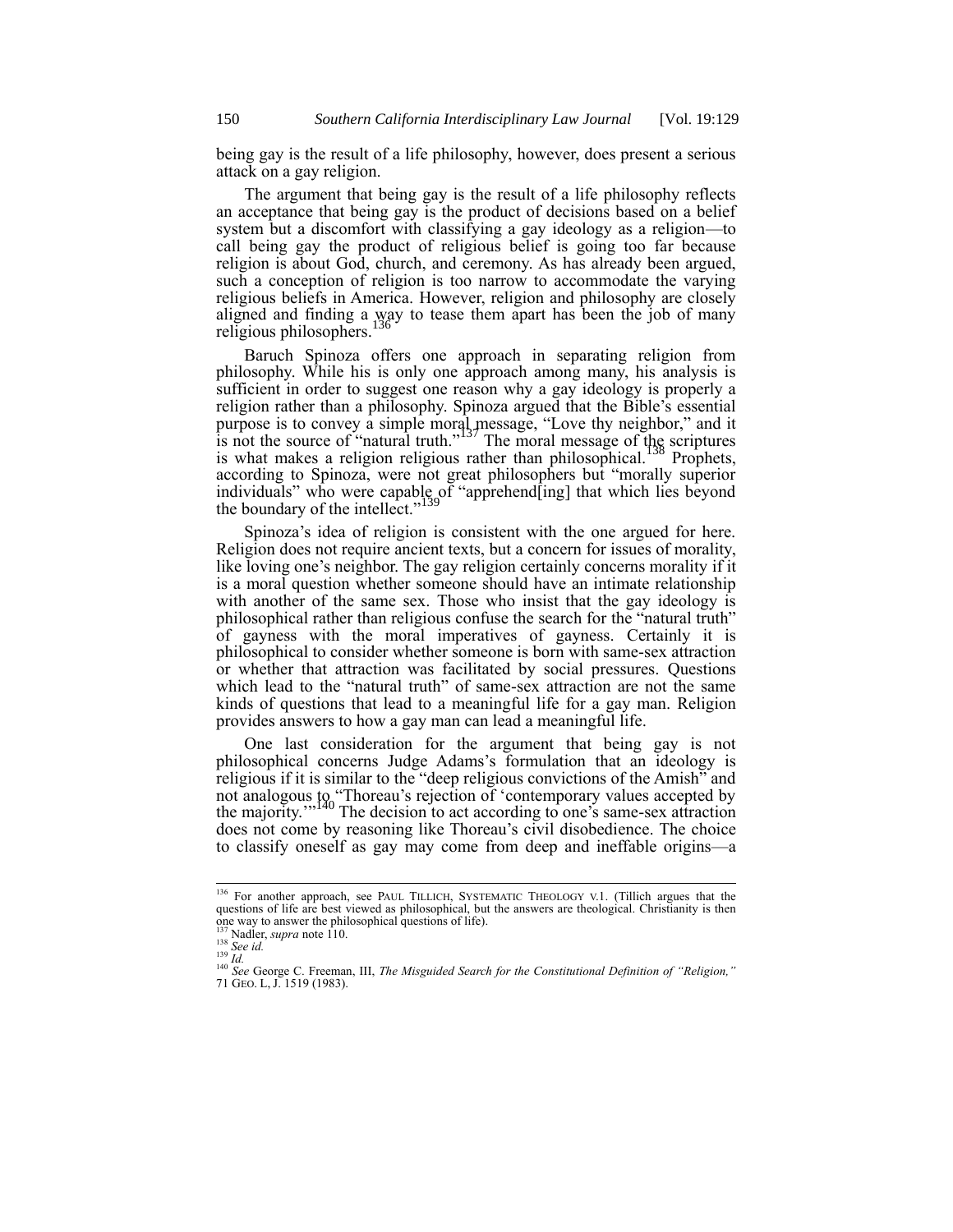being gay is the result of a life philosophy, however, does present a serious attack on a gay religion.

The argument that being gay is the result of a life philosophy reflects an acceptance that being gay is the product of decisions based on a belief system but a discomfort with classifying a gay ideology as a religion—to call being gay the product of religious belief is going too far because religion is about God, church, and ceremony. As has already been argued, such a conception of religion is too narrow to accommodate the varying religious beliefs in America. However, religion and philosophy are closely aligned and finding a way to tease them apart has been the job of many religious philosophers.<sup>1</sup>

Baruch Spinoza offers one approach in separating religion from philosophy. While his is only one approach among many, his analysis is sufficient in order to suggest one reason why a gay ideology is properly a religion rather than a philosophy. Spinoza argued that the Bible's essential purpose is to convey a simple moral message, "Love thy neighbor," and it is not the source of "natural truth."<sup>137</sup> The moral message of the scriptures is not the source of matural truth. The moral message of  $v_{138}^{\text{28}}$  explanes is what makes a religion religious rather than philosophical.<sup>138</sup> Prophets, according to Spinoza, were not great philosophers but "morally superior individuals" who were capable of "apprehend[ing] that which lies beyond the boundary of the intellect."<sup>139</sup>

Spinoza's idea of religion is consistent with the one argued for here. Religion does not require ancient texts, but a concern for issues of morality, like loving one's neighbor. The gay religion certainly concerns morality if it is a moral question whether someone should have an intimate relationship with another of the same sex. Those who insist that the gay ideology is philosophical rather than religious confuse the search for the "natural truth" of gayness with the moral imperatives of gayness. Certainly it is philosophical to consider whether someone is born with same-sex attraction or whether that attraction was facilitated by social pressures. Questions which lead to the "natural truth" of same-sex attraction are not the same kinds of questions that lead to a meaningful life for a gay man. Religion provides answers to how a gay man can lead a meaningful life.

One last consideration for the argument that being gay is not philosophical concerns Judge Adams's formulation that an ideology is religious if it is similar to the "deep religious convictions of the Amish" and not analogous to "Thoreau's rejection of 'contemporary values accepted by the majority."<sup>140</sup> The decision to act according to one's same-sex attraction does not come by reasoning like Thoreau's civil disobedience. The choice to classify oneself as gay may come from deep and ineffable origins—a

<sup>&</sup>lt;sup>136</sup> For another approach, see PAUL TILLICH, SYSTEMATIC THEOLOGY V.1. (Tillich argues that the questions of life are best viewed as philosophical, but the answers are theological. Christianity is then one way to answer the philosophical questions of life).

Nadler, *supra* note 110.

<sup>138</sup> *See id.*

<sup>139</sup> *Id.*

<sup>140</sup> *See* George C. Freeman, III, *The Misguided Search for the Constitutional Definition of "Religion,"* 71 GEO. L, J. 1519 (1983).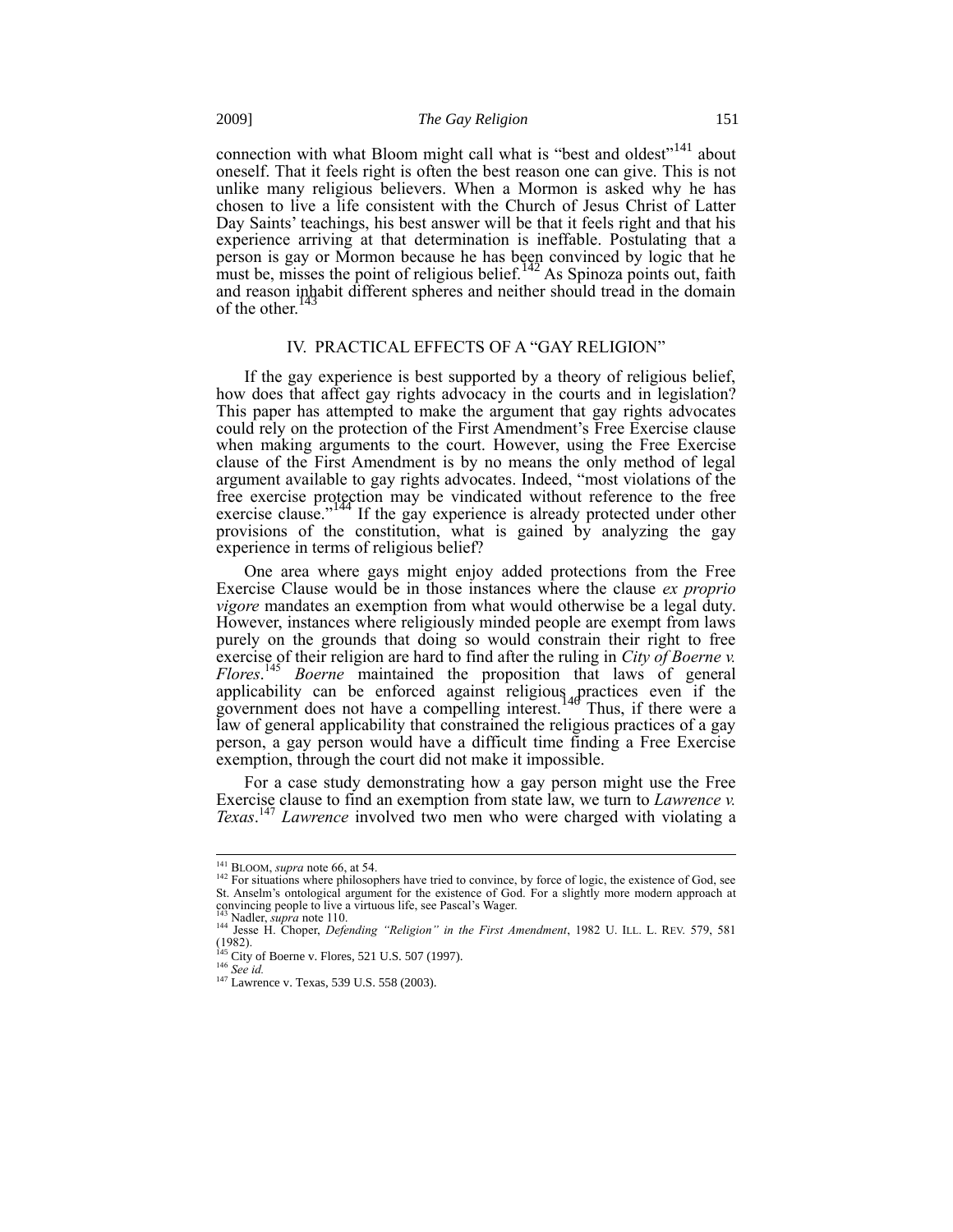connection with what Bloom might call what is "best and oldest"<sup>141</sup> about oneself. That it feels right is often the best reason one can give. This is not unlike many religious believers. When a Mormon is asked why he has chosen to live a life consistent with the Church of Jesus Christ of Latter Day Saints' teachings, his best answer will be that it feels right and that his experience arriving at that determination is ineffable. Postulating that a person is gay or Mormon because he has been convinced by logic that he must be, misses the point of religious belief.<sup>142</sup> As Spinoza points out, faith and reason inhabit different spheres and neither should tread in the domain of the other. $143$ 

## IV. PRACTICAL EFFECTS OF A "GAY RELIGION"

If the gay experience is best supported by a theory of religious belief, how does that affect gay rights advocacy in the courts and in legislation? This paper has attempted to make the argument that gay rights advocates could rely on the protection of the First Amendment's Free Exercise clause when making arguments to the court. However, using the Free Exercise clause of the First Amendment is by no means the only method of legal argument available to gay rights advocates. Indeed, "most violations of the free exercise protection may be vindicated without reference to the free exercise clause."<sup>144</sup> If the gay experience is already protected under other provisions of the constitution, what is gained by analyzing the gay experience in terms of religious belief?

One area where gays might enjoy added protections from the Free Exercise Clause would be in those instances where the clause *ex proprio vigore* mandates an exemption from what would otherwise be a legal duty. However, instances where religiously minded people are exempt from laws purely on the grounds that doing so would constrain their right to free exercise of their religion are hard to find after the ruling in *City of Boerne v. Flores*. <sup>145</sup> *Boerne* maintained the proposition that laws of general applicability can be enforced against religious practices even if the government does not have a compelling interest. Thus, if there were a law of general applicability that constrained the religious practices of a gay person, a gay person would have a difficult time finding a Free Exercise exemption, through the court did not make it impossible.

For a case study demonstrating how a gay person might use the Free Exercise clause to find an exemption from state law, we turn to *Lawrence v. Texas*. <sup>147</sup> *Lawrence* involved two men who were charged with violating a

-

<sup>&</sup>lt;sup>141</sup> BLOOM, *supra* note 66, at 54.<br><sup>142</sup> For situations where philosophers have tried to convince, by force of logic, the existence of God, see St. Anselm's ontological argument for the existence of God. For a slightly more modern approach at convincing people to live a virtuous life, see Pascal's Wager.

Nadler, *supra* note 110.

<sup>&</sup>lt;sup>144</sup> Jesse H. Choper, *Defending "Religion" in the First Amendment*, 1982 U. ILL. L. REV. 579, 581 (1982). <sup>145</sup> City of Boerne v. Flores, 521 U.S. 507 (1997).

<sup>146</sup> *See id.*

 $147$  Lawrence v. Texas, 539 U.S. 558 (2003).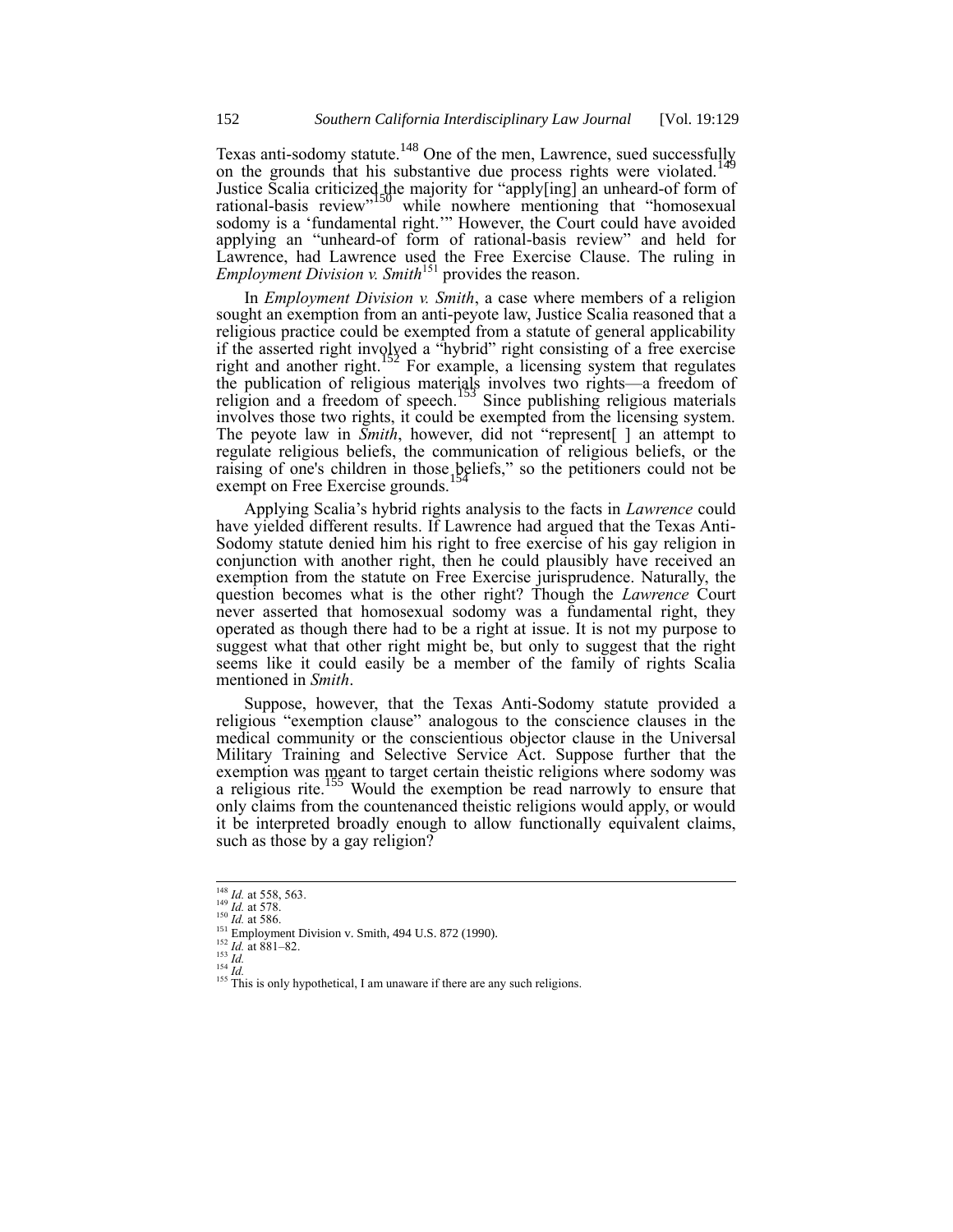Texas anti-sodomy statute.<sup>148</sup> One of the men, Lawrence, sued successfully on the grounds that his substantive due process rights were violated.<sup>1</sup> Justice Scalia criticized the majority for "apply[ing] an unheard-of form of rational-basis review<sup>"150</sup> while nowhere mentioning that "homosexual" sodomy is a 'fundamental right.'" However, the Court could have avoided applying an "unheard-of form of rational-basis review" and held for Lawrence, had Lawrence used the Free Exercise Clause. The ruling in *Employment Division v. Smith*<sup>151</sup> provides the reason.

In *Employment Division v. Smith*, a case where members of a religion sought an exemption from an anti-peyote law, Justice Scalia reasoned that a religious practice could be exempted from a statute of general applicability if the asserted right involved a "hybrid" right consisting of a free exercise right and another right.<sup>152</sup> For example, a licensing system that regulates the publication of religious materials involves two rights—a freedom of religion and a freedom of speech.<sup>153</sup> Since publishing religious materials involves those two rights, it could be exempted from the licensing system. The peyote law in *Smith*, however, did not "represent[ ] an attempt to regulate religious beliefs, the communication of religious beliefs, or the raising of one's children in those beliefs," so the petitioners could not be exempt on Free Exercise grounds.<sup>154</sup>

Applying Scalia's hybrid rights analysis to the facts in *Lawrence* could have yielded different results. If Lawrence had argued that the Texas Anti-Sodomy statute denied him his right to free exercise of his gay religion in conjunction with another right, then he could plausibly have received an exemption from the statute on Free Exercise jurisprudence. Naturally, the question becomes what is the other right? Though the *Lawrence* Court never asserted that homosexual sodomy was a fundamental right, they operated as though there had to be a right at issue. It is not my purpose to suggest what that other right might be, but only to suggest that the right seems like it could easily be a member of the family of rights Scalia mentioned in *Smith*.

Suppose, however, that the Texas Anti-Sodomy statute provided a religious "exemption clause" analogous to the conscience clauses in the medical community or the conscientious objector clause in the Universal Military Training and Selective Service Act. Suppose further that the exemption was meant to target certain theistic religions where sodomy was a religious rite.<sup>155</sup> Would the exemption be read narrowly to ensure that only claims from the countenanced theistic religions would apply, or would it be interpreted broadly enough to allow functionally equivalent claims, such as those by a gay religion?

<sup>148</sup> *Id.* at 558, 563. <sup>149</sup> *Id.* at 578. <sup>150</sup> *Id.* at 586.

<sup>&</sup>lt;sup>151</sup> Employment Division v. Smith, 494 U.S. 872 (1990).

 $\frac{152}{Id}$ . at 881–82.

<sup>153</sup> *Id.*

<sup>154</sup> *Id.*

 $155$  This is only hypothetical, I am unaware if there are any such religions.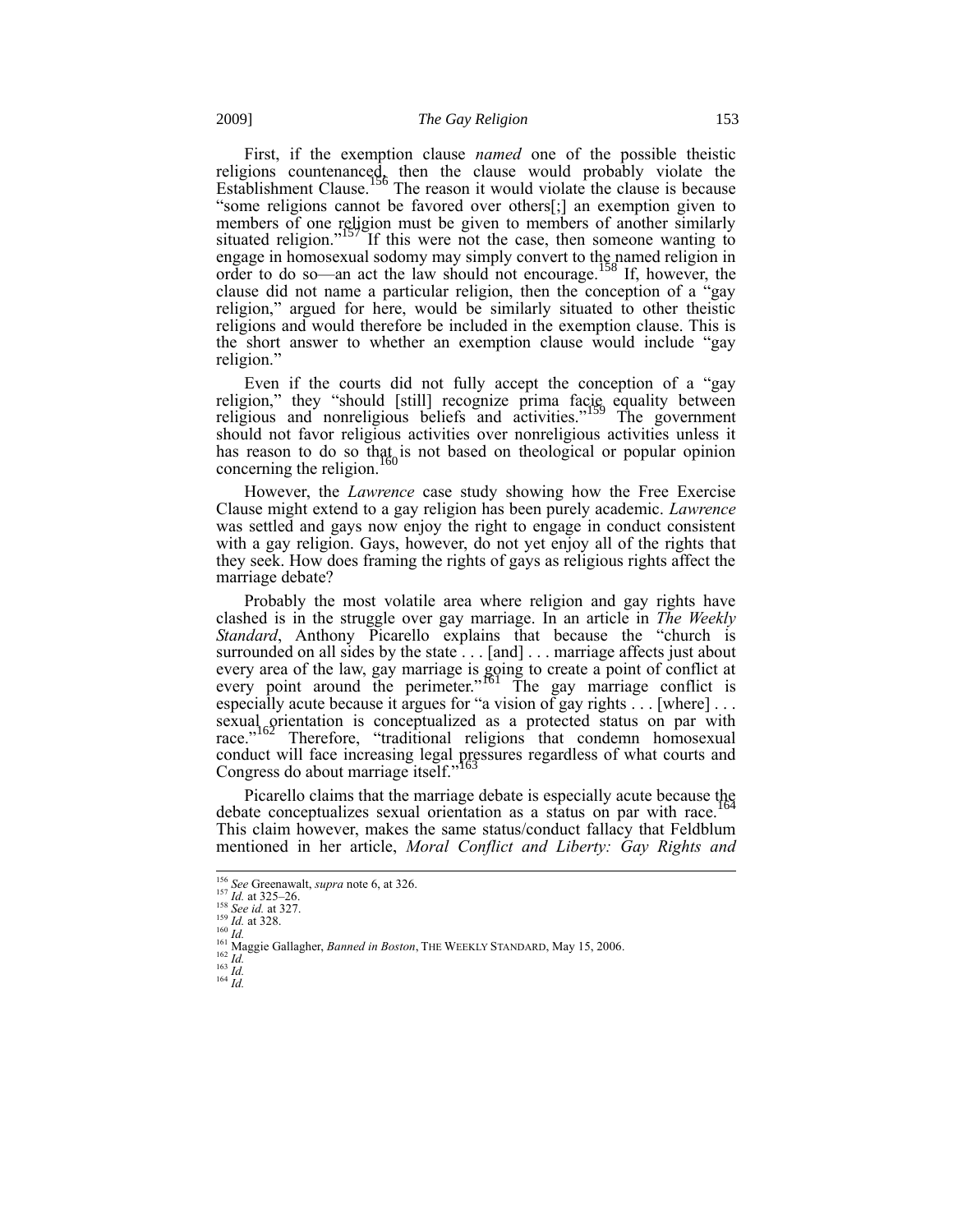First, if the exemption clause *named* one of the possible theistic religions countenanced, then the clause would probably violate the Establishment Clause.<sup>156</sup> The reason it would violate the clause is because "some religions cannot be favored over others[;] an exemption given to members of one religion must be given to members of another similarly situated religion."<sup>157</sup> If this were not the case, then someone wanting to engage in homosexual sodomy may simply convert to the named religion in order to do so—an act the law should not encourage.<sup>158</sup> If, however, the clause did not name a particular religion, then the conception of a "gay religion," argued for here, would be similarly situated to other theistic religions and would therefore be included in the exemption clause. This is the short answer to whether an exemption clause would include "gay religion."

Even if the courts did not fully accept the conception of a "gay religion," they "should [still] recognize prima facie equality between religious and nonreligious beliefs and activities."<sup>159</sup> The government should not favor religious activities over nonreligious activities unless it has reason to do so that is not based on theological or popular opinion concerning the religion.<sup>1</sup>

However, the *Lawrence* case study showing how the Free Exercise Clause might extend to a gay religion has been purely academic. *Lawrence* was settled and gays now enjoy the right to engage in conduct consistent with a gay religion. Gays, however, do not yet enjoy all of the rights that they seek. How does framing the rights of gays as religious rights affect the marriage debate?

Probably the most volatile area where religion and gay rights have clashed is in the struggle over gay marriage. In an article in *The Weekly Standard*, Anthony Picarello explains that because the "church is surrounded on all sides by the state . . . [and] . . . marriage affects just about every area of the law, gay marriage is going to create a point of conflict at every point around the perimeter.<sup>"161</sup> The gay marriage conflict is especially acute because it argues for "a vision of gay rights . . . [where] . . . sexual orientation is conceptualized as a protected status on par with race."<sup>162</sup> Therefore, "traditional religions that condemn homosexual conduct will face increasing legal pressures regardless of what courts and Congress do about marriage itself."<sup>163</sup>

Picarello claims that the marriage debate is especially acute because the debate conceptualizes sexual orientation as a status on par with race.<sup>164</sup> This claim however, makes the same status/conduct fallacy that Feldblum mentioned in her article, *Moral Conflict and Liberty: Gay Rights and* 

<sup>156</sup> *See* Greenawalt, *supra* note 6, at 326.

<sup>157</sup> *Id.* at 325–26. <sup>158</sup> *See id.* at 327.

<sup>159</sup> *Id.* at 328.

<sup>160</sup> *Id.*

<sup>161</sup> Maggie Gallagher, *Banned in Boston*, THE WEEKLY STANDARD, May 15, 2006. <sup>162</sup> *Id.*

 $^{163}$  *Id.* 

<sup>164</sup> *Id.*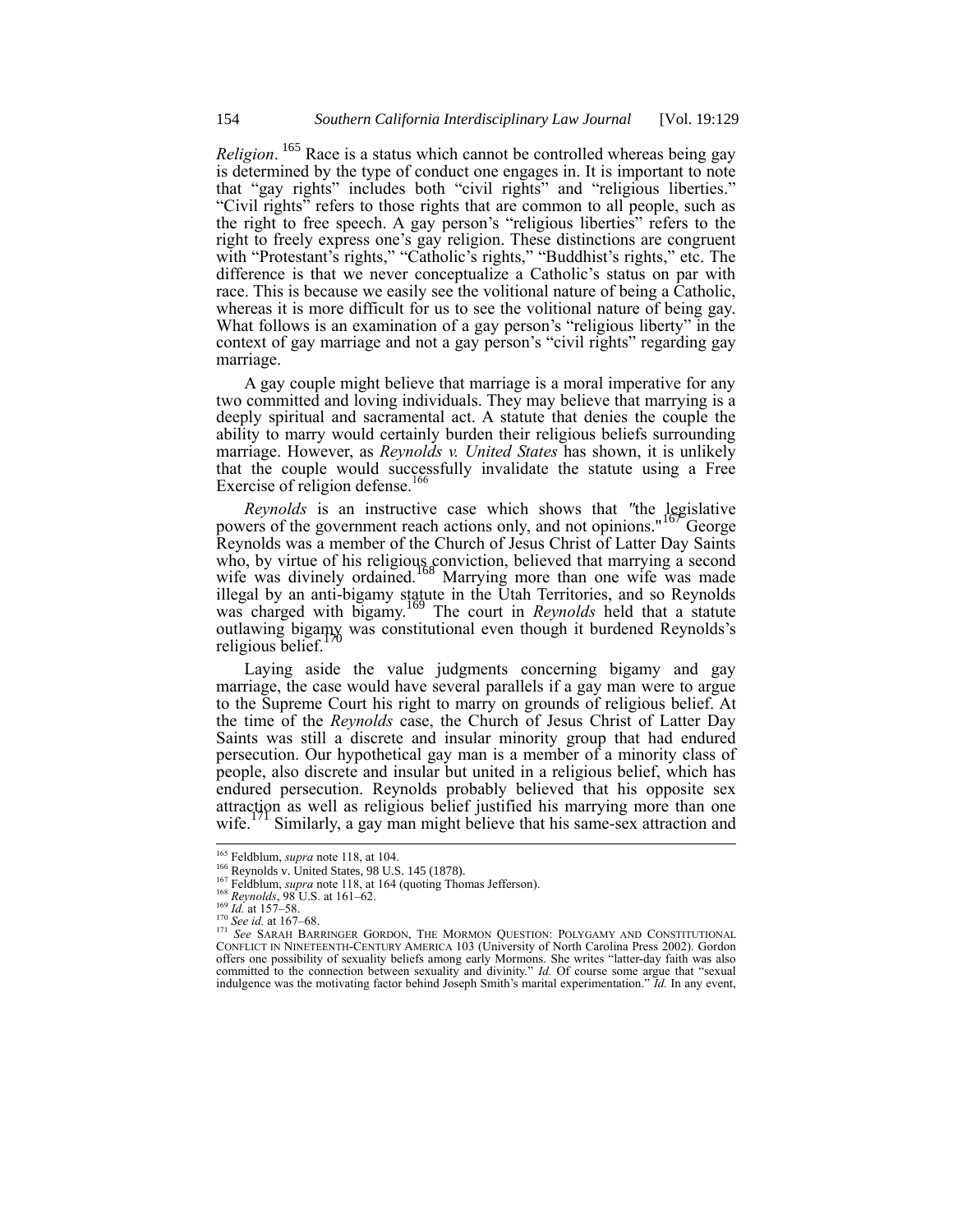*Religion*. <sup>165</sup> Race is a status which cannot be controlled whereas being gay is determined by the type of conduct one engages in. It is important to note that "gay rights" includes both "civil rights" and "religious liberties." "Civil rights" refers to those rights that are common to all people, such as the right to free speech. A gay person's "religious liberties" refers to the right to freely express one's gay religion. These distinctions are congruent with "Protestant's rights," "Catholic's rights," "Buddhist's rights," etc. The difference is that we never conceptualize a Catholic's status on par with race. This is because we easily see the volitional nature of being a Catholic, whereas it is more difficult for us to see the volitional nature of being gay. What follows is an examination of a gay person's "religious liberty" in the context of gay marriage and not a gay person's "civil rights" regarding gay marriage.

A gay couple might believe that marriage is a moral imperative for any two committed and loving individuals. They may believe that marrying is a deeply spiritual and sacramental act. A statute that denies the couple the ability to marry would certainly burden their religious beliefs surrounding marriage. However, as *Reynolds v. United States* has shown, it is unlikely that the couple would successfully invalidate the statute using a Free Exercise of religion defense.<sup>166</sup>

*Reynolds* is an instructive case which shows that "the legislative powers of the government reach actions only, and not opinions."<sup>167</sup> George Reynolds was a member of the Church of Jesus Christ of Latter Day Saints who, by virtue of his religious conviction, believed that marrying a second wife was divinely ordained.<sup>168</sup> Marrying more than one wife was made illegal by an anti-bigamy statute in the Utah Territories, and so Reynolds was charged with bigamy.<sup>169</sup> The court in *Reynolds* held that a statute outlawing bigamy was constitutional even though it burdened Reynolds's religious belief.<sup>1</sup>

Laying aside the value judgments concerning bigamy and gay marriage, the case would have several parallels if a gay man were to argue to the Supreme Court his right to marry on grounds of religious belief. At the time of the *Reynolds* case, the Church of Jesus Christ of Latter Day Saints was still a discrete and insular minority group that had endured persecution. Our hypothetical gay man is a member of a minority class of people, also discrete and insular but united in a religious belief, which has endured persecution. Reynolds probably believed that his opposite sex attraction as well as religious belief justified his marrying more than one wife.<sup>171</sup> Similarly, a gay man might believe that his same-sex attraction and Similarly, a gay man might believe that his same-sex attraction and

<sup>165</sup> Feldblum, *supra* note 118, at 104.

<sup>&</sup>lt;sup>166</sup> Reynolds v. United States, 98 U.S. 145 (1878).

<sup>&</sup>lt;sup>167</sup> Feldblum, *supra* note 118, at 164 (quoting Thomas Jefferson).

<sup>168</sup> *Reynolds*, 98 U.S. at 161–62. <sup>169</sup> *Id.* at 157–58.

<sup>170</sup> *See id.* at 167–68.

<sup>&</sup>lt;sup>171</sup> See SARAH BARRINGER GORDON, THE MORMON QUESTION: POLYGAMY AND CONSTITUTIONAL CONFLICT IN NINETEENTH-CENTURY AMERICA 103 (University of North Carolina Press 2002). Gordon offers one possibility of sexuality beliefs among early Mormons. She writes "latter-day faith was also committed to the connection between sexuality and divinity." *Id.* Of course some argue that "sexual indulgence was the motivating factor behind Joseph Smith's marital experimentation." *Id.* In any event,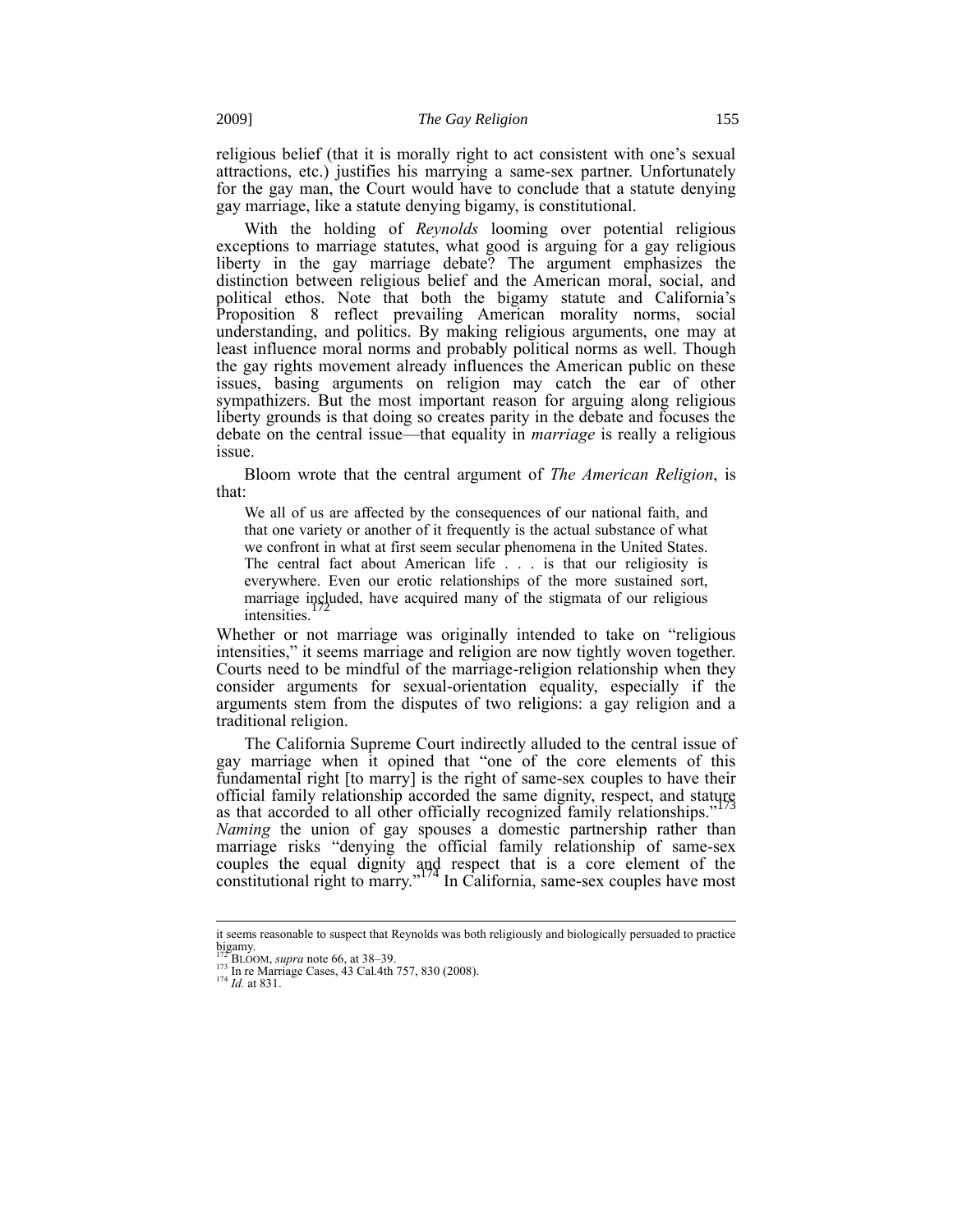religious belief (that it is morally right to act consistent with one's sexual attractions, etc.) justifies his marrying a same-sex partner. Unfortunately for the gay man, the Court would have to conclude that a statute denying gay marriage, like a statute denying bigamy, is constitutional.

With the holding of *Reynolds* looming over potential religious exceptions to marriage statutes, what good is arguing for a gay religious liberty in the gay marriage debate? The argument emphasizes the distinction between religious belief and the American moral, social, and political ethos. Note that both the bigamy statute and California's Proposition 8 reflect prevailing American morality norms, social understanding, and politics. By making religious arguments, one may at least influence moral norms and probably political norms as well. Though the gay rights movement already influences the American public on these issues, basing arguments on religion may catch the ear of other sympathizers. But the most important reason for arguing along religious liberty grounds is that doing so creates parity in the debate and focuses the debate on the central issue—that equality in *marriage* is really a religious issue.

Bloom wrote that the central argument of *The American Religion*, is that:

We all of us are affected by the consequences of our national faith, and that one variety or another of it frequently is the actual substance of what we confront in what at first seem secular phenomena in the United States. The central fact about American life . . . is that our religiosity is everywhere. Even our erotic relationships of the more sustained sort, marriage included, have acquired many of the stigmata of our religious intensities.

Whether or not marriage was originally intended to take on "religious intensities," it seems marriage and religion are now tightly woven together. Courts need to be mindful of the marriage-religion relationship when they consider arguments for sexual-orientation equality, especially if the arguments stem from the disputes of two religions: a gay religion and a traditional religion.

The California Supreme Court indirectly alluded to the central issue of gay marriage when it opined that "one of the core elements of this fundamental right [to marry] is the right of same-sex couples to have their official family relationship accorded the same dignity, respect, and stature as that accorded to all other officially recognized family relationships."<sup>173</sup> *Naming* the union of gay spouses a domestic partnership rather than marriage risks "denying the official family relationship of same-sex couples the equal dignity and respect that is a core element of the constitutional right to marry."<sup>174</sup> In California, same-sex couples have most

it seems reasonable to suspect that Reynolds was both religiously and biologically persuaded to practice bigamy. <sup>172</sup> BLOOM, *supra* note 66, at 38–39.

<sup>&</sup>lt;sup>173</sup> In re Marriage Cases, 43 Cal.4th 757, 830 (2008).<br><sup>174</sup> *Id.* at 831.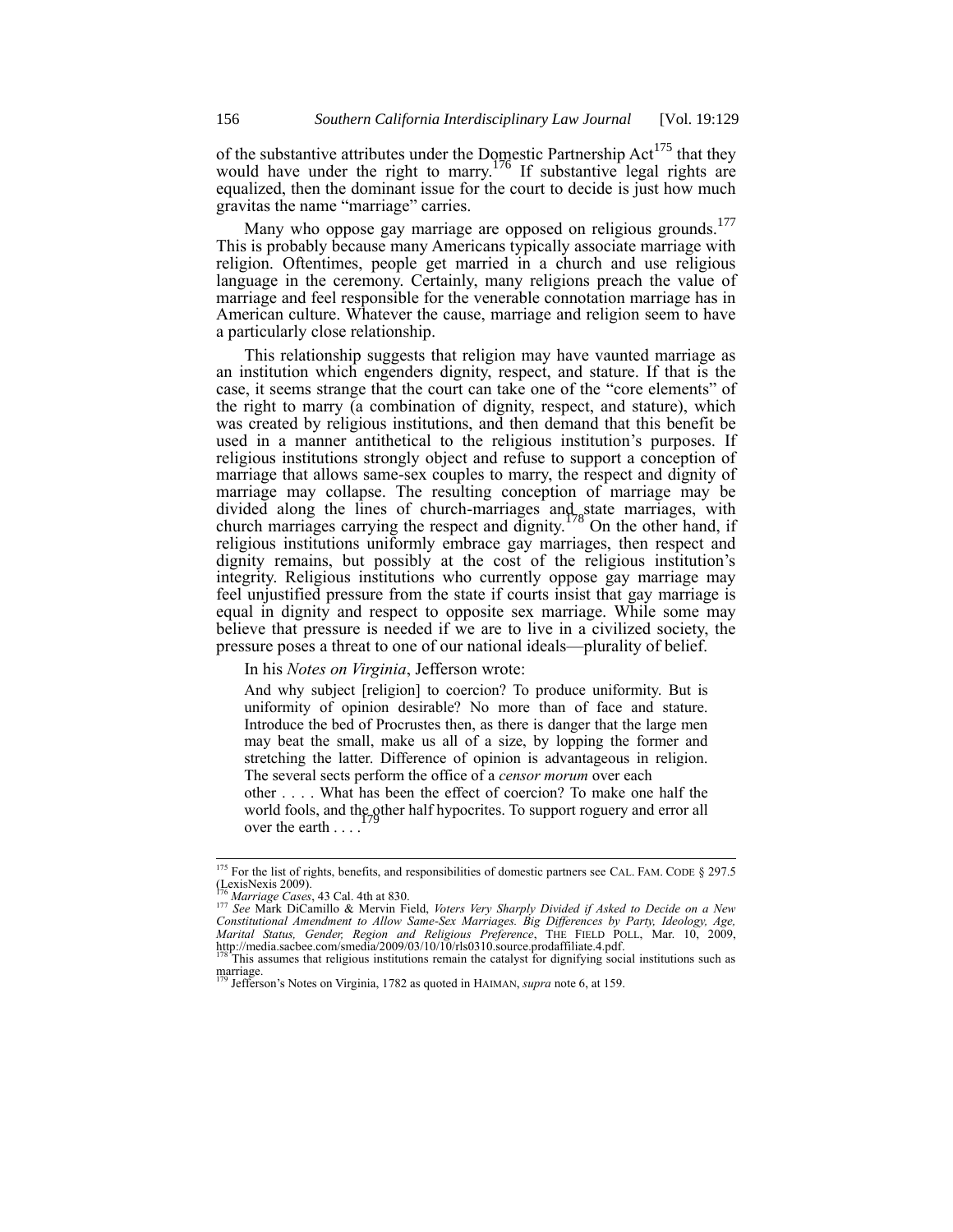of the substantive attributes under the Domestic Partnership  $Act^{175}$  that they would have under the right to marry.<sup>176</sup> If substantive legal rights are equalized, then the dominant issue for the court to decide is just how much gravitas the name "marriage" carries.

Many who oppose gay marriage are opposed on religious grounds.<sup>177</sup> This is probably because many Americans typically associate marriage with religion. Oftentimes, people get married in a church and use religious language in the ceremony. Certainly, many religions preach the value of marriage and feel responsible for the venerable connotation marriage has in American culture. Whatever the cause, marriage and religion seem to have a particularly close relationship.

This relationship suggests that religion may have vaunted marriage as an institution which engenders dignity, respect, and stature. If that is the case, it seems strange that the court can take one of the "core elements" of the right to marry (a combination of dignity, respect, and stature), which was created by religious institutions, and then demand that this benefit be used in a manner antithetical to the religious institution's purposes. If religious institutions strongly object and refuse to support a conception of marriage that allows same-sex couples to marry, the respect and dignity of marriage may collapse. The resulting conception of marriage may be divided along the lines of church-marriages and state marriages, with church marriages carrying the respect and dignity.<sup>178</sup> On the other hand, if religious institutions uniformly embrace gay marriages, then respect and dignity remains, but possibly at the cost of the religious institution's integrity. Religious institutions who currently oppose gay marriage may feel unjustified pressure from the state if courts insist that gay marriage is equal in dignity and respect to opposite sex marriage. While some may believe that pressure is needed if we are to live in a civilized society, the pressure poses a threat to one of our national ideals—plurality of belief.

#### In his *Notes on Virginia*, Jefferson wrote:

And why subject [religion] to coercion? To produce uniformity. But is uniformity of opinion desirable? No more than of face and stature. Introduce the bed of Procrustes then, as there is danger that the large men may beat the small, make us all of a size, by lopping the former and stretching the latter. Difference of opinion is advantageous in religion. The several sects perform the office of a *censor morum* over each other . . . . What has been the effect of coercion? To make one half the

world fools, and the other half hypocrites. To support roguery and error all space the sorth over the earth . . . .

<sup>&</sup>lt;sup>175</sup> For the list of rights, benefits, and responsibilities of domestic partners see CAL. FAM. CODE  $\S$  297.5  $(LexisNexis 2009).$ 

<sup>176</sup> *Marriage Cases*, 43 Cal. 4th at 830.

<sup>177</sup> *See* Mark DiCamillo & Mervin Field, *Voters Very Sharply Divided if Asked to Decide on a New Constitutional Amendment to Allow Same-Sex Marriages. Big Differences by Party, Ideology, Age, Marital Status, Gender, Region and Religious Preference*, THE FIELD POLL, Mar. 10, 2009,<br>http://media.sacbee.com/smedia/2009/03/10/10/rls0310.source.prodaffiliate.4.pdf.<br><sup>178</sup> This assumes that religious institutions rema

marriage. <sup>179</sup> Jefferson's Notes on Virginia, 1782 as quoted in HAIMAN, *supra* note 6, at 159.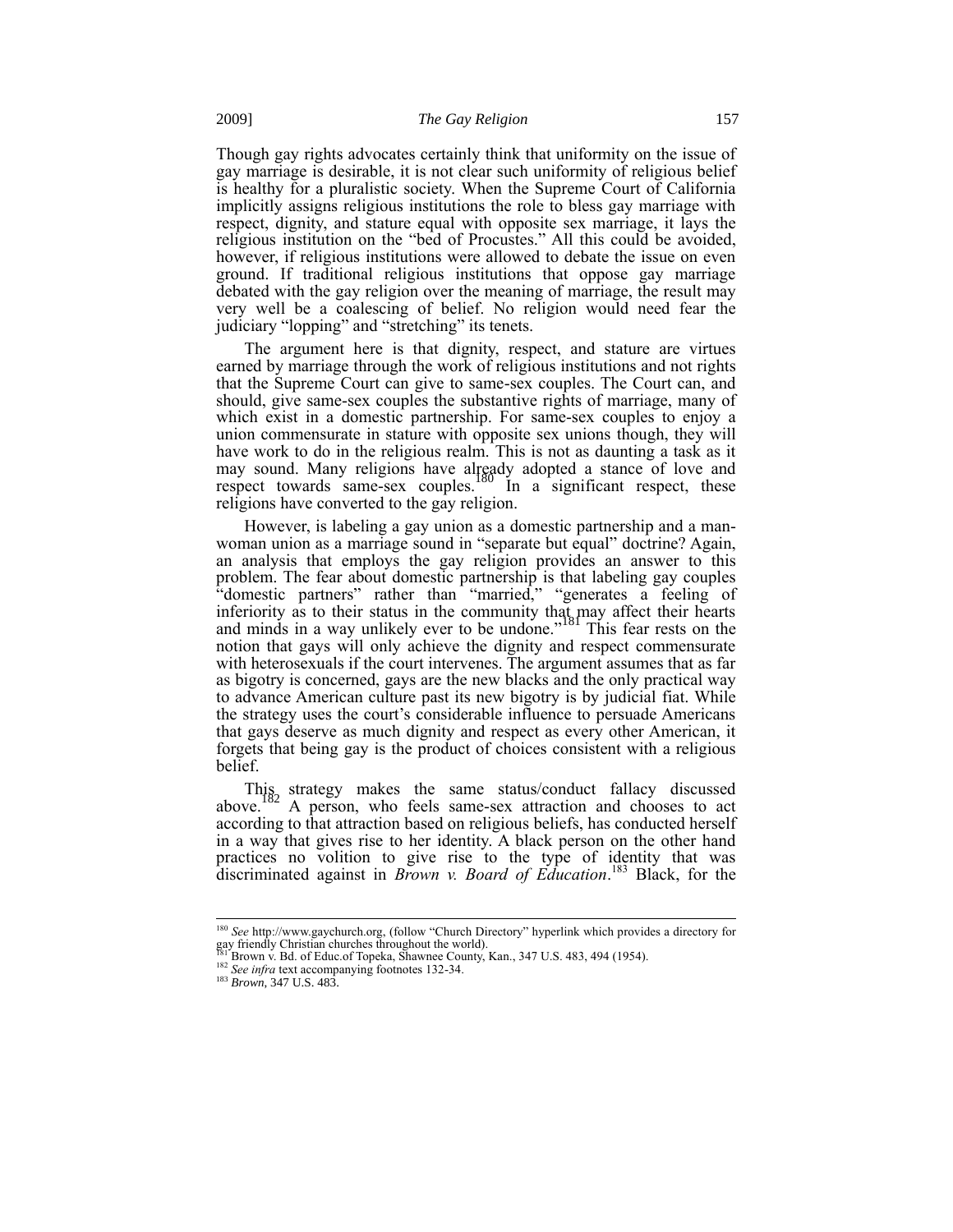Though gay rights advocates certainly think that uniformity on the issue of gay marriage is desirable, it is not clear such uniformity of religious belief is healthy for a pluralistic society. When the Supreme Court of California implicitly assigns religious institutions the role to bless gay marriage with respect, dignity, and stature equal with opposite sex marriage, it lays the religious institution on the "bed of Procustes." All this could be avoided, however, if religious institutions were allowed to debate the issue on even ground. If traditional religious institutions that oppose gay marriage debated with the gay religion over the meaning of marriage, the result may very well be a coalescing of belief. No religion would need fear the judiciary "lopping" and "stretching" its tenets.

The argument here is that dignity, respect, and stature are virtues earned by marriage through the work of religious institutions and not rights that the Supreme Court can give to same-sex couples. The Court can, and should, give same-sex couples the substantive rights of marriage, many of which exist in a domestic partnership. For same-sex couples to enjoy a union commensurate in stature with opposite sex unions though, they will have work to do in the religious realm. This is not as daunting a task as it may sound. Many religions have already adopted a stance of love and respect towards same-sex couples.<sup>180</sup> In a significant respect, these religions have converted to the gay religion.

However, is labeling a gay union as a domestic partnership and a manwoman union as a marriage sound in "separate but equal" doctrine? Again, an analysis that employs the gay religion provides an answer to this problem. The fear about domestic partnership is that labeling gay couples "domestic partners" rather than "married," "generates a feeling of inferiority as to their status in the community that may affect their hearts and minds in a way unlikely ever to be undone."<sup>181</sup> This fear rests on the notion that gays will only achieve the dignity and respect commensurate with heterosexuals if the court intervenes. The argument assumes that as far as bigotry is concerned, gays are the new blacks and the only practical way to advance American culture past its new bigotry is by judicial fiat. While the strategy uses the court's considerable influence to persuade Americans that gays deserve as much dignity and respect as every other American, it forgets that being gay is the product of choices consistent with a religious belief.

This strategy makes the same status/conduct fallacy discussed above.<sup>182</sup> A person, who feels same-sex attraction and chooses to act according to that attraction based on religious beliefs, has conducted herself in a way that gives rise to her identity. A black person on the other hand practices no volition to give rise to the type of identity that was discriminated against in *Brown v. Board of Education*. <sup>183</sup> Black, for the

<sup>180</sup> *See* http://www.gaychurch.org, (follow "Church Directory" hyperlink which provides a directory for gay friendly Christian churches throughout the world).

Brown v. Bd. of Educ.of Topeka, Shawnee County, Kan., 347 U.S. 483, 494 (1954).

<sup>&</sup>lt;sup>182</sup> *See infra text accompanying footnotes 132-34.* 

<sup>183</sup> *Brown*, 347 U.S. 483.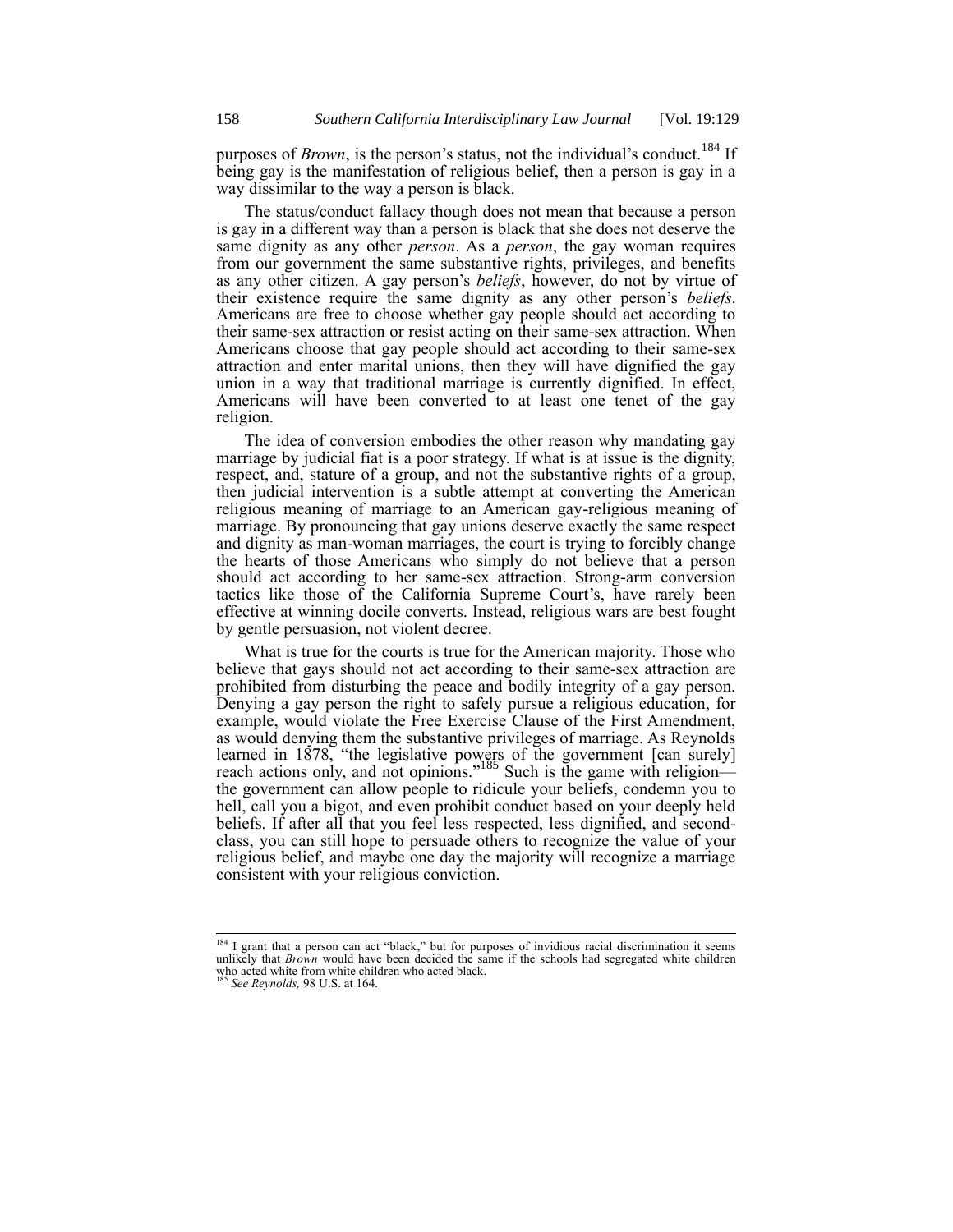purposes of *Brown*, is the person's status, not the individual's conduct.<sup>184</sup> If being gay is the manifestation of religious belief, then a person is gay in a way dissimilar to the way a person is black.

The status/conduct fallacy though does not mean that because a person is gay in a different way than a person is black that she does not deserve the same dignity as any other *person*. As a *person*, the gay woman requires from our government the same substantive rights, privileges, and benefits as any other citizen. A gay person's *beliefs*, however, do not by virtue of their existence require the same dignity as any other person's *beliefs*. Americans are free to choose whether gay people should act according to their same-sex attraction or resist acting on their same-sex attraction. When Americans choose that gay people should act according to their same-sex attraction and enter marital unions, then they will have dignified the gay union in a way that traditional marriage is currently dignified. In effect, Americans will have been converted to at least one tenet of the gay religion.

The idea of conversion embodies the other reason why mandating gay marriage by judicial fiat is a poor strategy. If what is at issue is the dignity, respect, and, stature of a group, and not the substantive rights of a group, then judicial intervention is a subtle attempt at converting the American religious meaning of marriage to an American gay-religious meaning of marriage. By pronouncing that gay unions deserve exactly the same respect and dignity as man-woman marriages, the court is trying to forcibly change the hearts of those Americans who simply do not believe that a person should act according to her same-sex attraction. Strong-arm conversion tactics like those of the California Supreme Court's, have rarely been effective at winning docile converts. Instead, religious wars are best fought by gentle persuasion, not violent decree.

What is true for the courts is true for the American majority. Those who believe that gays should not act according to their same-sex attraction are prohibited from disturbing the peace and bodily integrity of a gay person. Denying a gay person the right to safely pursue a religious education, for example, would violate the Free Exercise Clause of the First Amendment, as would denying them the substantive privileges of marriage. As Reynolds learned in 1878, "the legislative powers of the government [can surely] reach actions only, and not opinions."<sup>185</sup> Such is the game with religion the government can allow people to ridicule your beliefs, condemn you to hell, call you a bigot, and even prohibit conduct based on your deeply held beliefs. If after all that you feel less respected, less dignified, and secondclass, you can still hope to persuade others to recognize the value of your religious belief, and maybe one day the majority will recognize a marriage consistent with your religious conviction.

<sup>&</sup>lt;sup>184</sup> I grant that a person can act "black," but for purposes of invidious racial discrimination it seems unlikely that *Brown* would have been decided the same if the schools had segregated white children who acted white from white children who acted black. <sup>185</sup> *See Reynolds,* 98 U.S. at 164.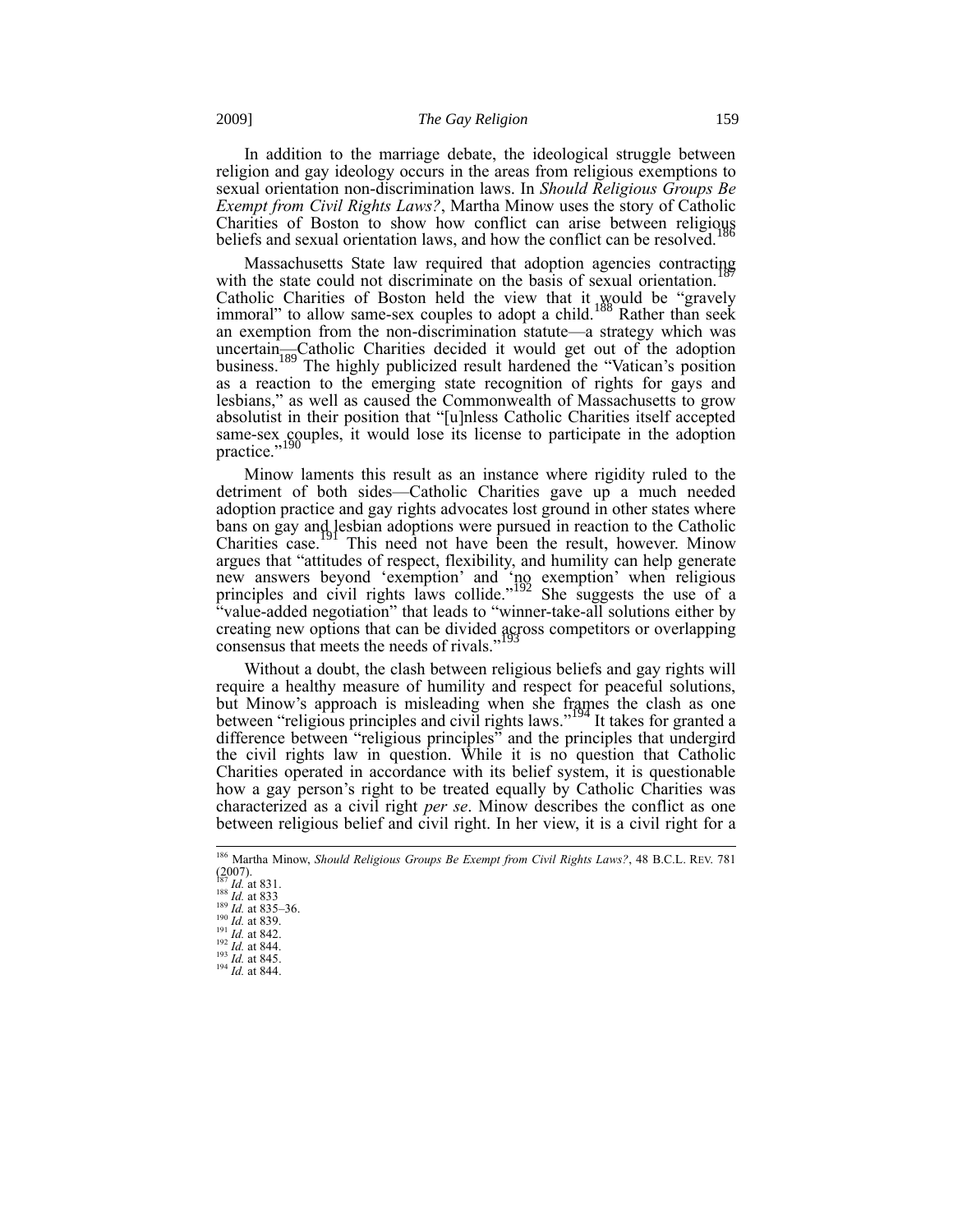In addition to the marriage debate, the ideological struggle between religion and gay ideology occurs in the areas from religious exemptions to sexual orientation non-discrimination laws. In *Should Religious Groups Be Exempt from Civil Rights Laws?*, Martha Minow uses the story of Catholic Charities of Boston to show how conflict can arise between religious beliefs and sexual orientation laws, and how the conflict can be resolved.<sup>1</sup>

Massachusetts State law required that adoption agencies contracting with the state could not discriminate on the basis of sexual orientation.<sup>1</sup> Catholic Charities of Boston held the view that it would be "gravely immoral" to allow same-sex couples to adopt a child.<sup>188</sup> Rather than seek an exemption from the non-discrimination statute—a strategy which was uncertain—Catholic Charities decided it would get out of the adoption business.<sup>189</sup> The highly publicized result hardened the "Vatican's position as a reaction to the emerging state recognition of rights for gays and lesbians," as well as caused the Commonwealth of Massachusetts to grow absolutist in their position that "[u]nless Catholic Charities itself accepted same-sex couples, it would lose its license to participate in the adoption practice."<sup>190</sup>

Minow laments this result as an instance where rigidity ruled to the detriment of both sides—Catholic Charities gave up a much needed adoption practice and gay rights advocates lost ground in other states where bans on gay and lesbian adoptions were pursued in reaction to the Catholic Charities case.<sup>191</sup> This need not have been the result, however. Minow argues that "attitudes of respect, flexibility, and humility can help generate new answers beyond 'exemption' and 'no exemption' when religious principles and civil rights laws collide."<sup>192</sup> She suggests the use of a "value-added negotiation" that leads to "winner-take-all solutions either by creating new options that can be divided across competitors or overlapping consensus that meets the needs of rivals."<sup>193</sup>

Without a doubt, the clash between religious beliefs and gay rights will require a healthy measure of humility and respect for peaceful solutions, but Minow's approach is misleading when she frames the clash as one between "religious principles and civil rights laws."<sup>194</sup> It takes for granted a difference between "religious principles" and the principles that undergird the civil rights law in question. While it is no question that Catholic Charities operated in accordance with its belief system, it is questionable how a gay person's right to be treated equally by Catholic Charities was characterized as a civil right *per se*. Minow describes the conflict as one between religious belief and civil right. In her view, it is a civil right for a

<sup>186</sup> Martha Minow, *Should Religious Groups Be Exempt from Civil Rights Laws?*, 48 B.C.L. REV. 781 (2007). <sup>187</sup> *Id.* at 831.

<sup>188</sup> *Id.* at 833 <sup>189</sup> *Id.* at 835–36. <sup>190</sup> *Id.* at 839.

<sup>191</sup> *Id.* at 842.

<sup>192</sup> *Id.* at 844. <sup>193</sup> *Id.* at 845.

<sup>194</sup> *Id.* at 844.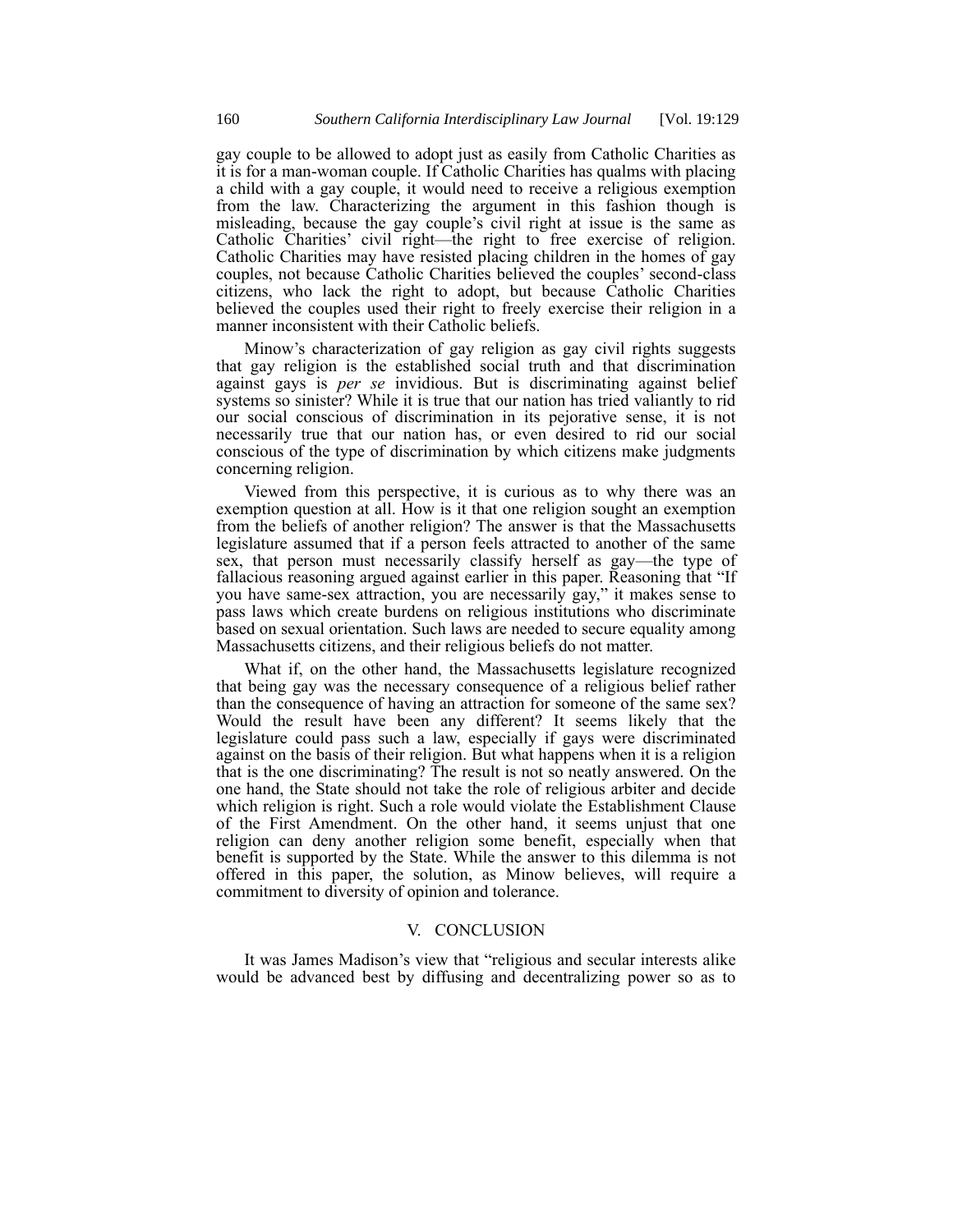gay couple to be allowed to adopt just as easily from Catholic Charities as it is for a man-woman couple. If Catholic Charities has qualms with placing a child with a gay couple, it would need to receive a religious exemption from the law. Characterizing the argument in this fashion though is misleading, because the gay couple's civil right at issue is the same as Catholic Charities' civil right—the right to free exercise of religion. Catholic Charities may have resisted placing children in the homes of gay couples, not because Catholic Charities believed the couples' second-class citizens, who lack the right to adopt, but because Catholic Charities believed the couples used their right to freely exercise their religion in a manner inconsistent with their Catholic beliefs.

Minow's characterization of gay religion as gay civil rights suggests that gay religion is the established social truth and that discrimination against gays is *per se* invidious. But is discriminating against belief systems so sinister? While it is true that our nation has tried valiantly to rid our social conscious of discrimination in its pejorative sense, it is not necessarily true that our nation has, or even desired to rid our social conscious of the type of discrimination by which citizens make judgments concerning religion.

Viewed from this perspective, it is curious as to why there was an exemption question at all. How is it that one religion sought an exemption from the beliefs of another religion? The answer is that the Massachusetts legislature assumed that if a person feels attracted to another of the same sex, that person must necessarily classify herself as gay—the type of fallacious reasoning argued against earlier in this paper. Reasoning that "If you have same-sex attraction, you are necessarily gay," it makes sense to pass laws which create burdens on religious institutions who discriminate based on sexual orientation. Such laws are needed to secure equality among Massachusetts citizens, and their religious beliefs do not matter.

What if, on the other hand, the Massachusetts legislature recognized that being gay was the necessary consequence of a religious belief rather than the consequence of having an attraction for someone of the same sex? Would the result have been any different? It seems likely that the legislature could pass such a law, especially if gays were discriminated against on the basis of their religion. But what happens when it is a religion that is the one discriminating? The result is not so neatly answered. On the one hand, the State should not take the role of religious arbiter and decide which religion is right. Such a role would violate the Establishment Clause of the First Amendment. On the other hand, it seems unjust that one religion can deny another religion some benefit, especially when that benefit is supported by the State. While the answer to this dilemma is not offered in this paper, the solution, as Minow believes, will require a commitment to diversity of opinion and tolerance.

### V. CONCLUSION

It was James Madison's view that "religious and secular interests alike would be advanced best by diffusing and decentralizing power so as to